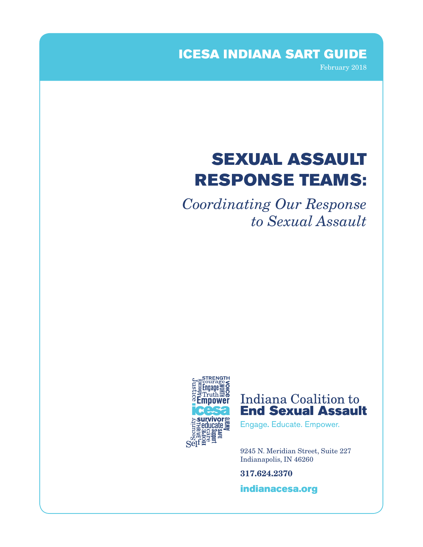ICESA INDIANA SART GUIDE

February 2018

# SEXUAL ASSAULT RESPONSE TEAMS:

*Coordinating Our Response to Sexual Assault*



# Indiana Coalition to **End Sexual Assault**

Engage. Educate. Empower.

9245 N. Meridian Street, Suite 227 Indianapolis, IN 46260

317.624.2370

[indianacesa.org](http://indianacesa.org)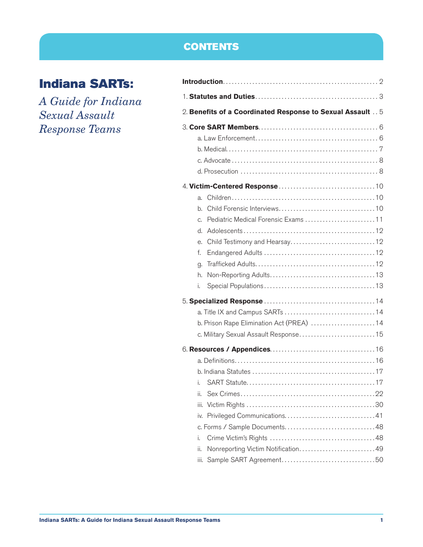# **CONTENTS**

# Indiana SARTs:

*A Guide for Indiana Sexual Assault Response Teams*

| 2. Benefits of a Coordinated Response to Sexual Assault  5 |
|------------------------------------------------------------|
|                                                            |
|                                                            |
|                                                            |
|                                                            |
|                                                            |
|                                                            |
| a.                                                         |
| b.                                                         |
| Pediatric Medical Forensic Exams 11<br>C.                  |
| d.                                                         |
| е.                                                         |
| f.                                                         |
| g.                                                         |
| h.                                                         |
| i.                                                         |
|                                                            |
|                                                            |
| b. Prison Rape Elimination Act (PREA) 14                   |
| c. Military Sexual Assault Response15                      |
|                                                            |
|                                                            |
|                                                            |
| i.                                                         |
| ii.                                                        |
| iii.                                                       |
| İV.                                                        |
|                                                            |
| i.                                                         |
| Nonreporting Victim Notification49<br>ii.                  |
| iii.                                                       |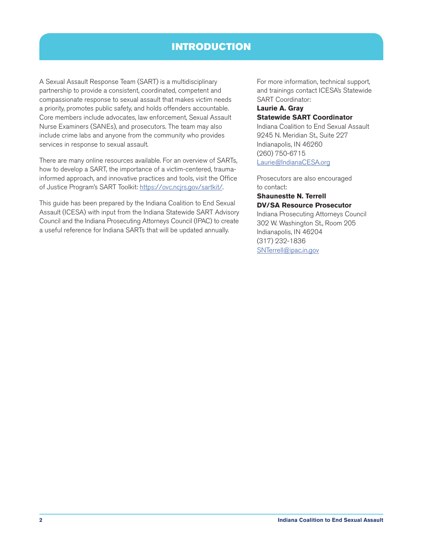# INTRODUCTION

<span id="page-2-0"></span>A Sexual Assault Response Team (SART) is a multidisciplinary partnership to provide a consistent, coordinated, competent and compassionate response to sexual assault that makes victim needs a priority, promotes public safety, and holds offenders accountable. Core members include advocates, law enforcement, Sexual Assault Nurse Examiners (SANEs), and prosecutors. The team may also include crime labs and anyone from the community who provides services in response to sexual assault.

There are many online resources available. For an overview of SARTs, how to develop a SART, the importance of a victim-centered, traumainformed approach, and innovative practices and tools, visit the Office of Justice Program's SART Toolkit:<https://ovc.ncjrs.gov/sartkit/>.

This guide has been prepared by the Indiana Coalition to End Sexual Assault (ICESA) with input from the Indiana Statewide SART Advisory Council and the Indiana Prosecuting Attorneys Council (IPAC) to create a useful reference for Indiana SARTs that will be updated annually.

For more information, technical support, and trainings contact ICESA's Statewide SART Coordinator:

#### **Laurie A. Gray Statewide SART Coordinator**

Indiana Coalition to End Sexual Assault 9245 N. Meridian St., Suite 227 Indianapolis, IN 46260 (260) 750-6715 [Laurie@IndianaCESA.org](mailto:Laurie%40IndianaCESA.org?subject=)

Prosecutors are also encouraged to contact:

#### **Shaunestte N. Terrell DV/SA Resource Prosecutor**

Indiana Prosecuting Attorneys Council 302 W. Washington St., Room 205 Indianapolis, IN 46204 (317) 232-1836 [SNTerrell@ipac.in.gov](mailto:SNTerrell%40ipac.in.gov?subject=)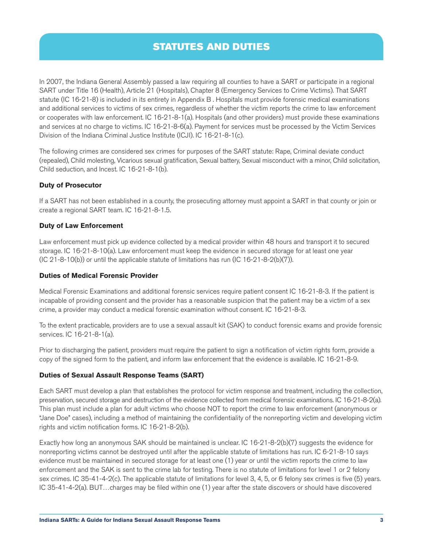# STATUTES AND DUTIES

<span id="page-3-0"></span>In 2007, the Indiana General Assembly passed a law requiring all counties to have a SART or participate in a regional SART under Title 16 (Health), Article 21 (Hospitals), Chapter 8 (Emergency Services to Crime Victims). That SART statute (IC 16-21-8) is included in its entirety in Appendix B . Hospitals must provide forensic medical examinations and additional services to victims of sex crimes, regardless of whether the victim reports the crime to law enforcement or cooperates with law enforcement. IC 16-21-8-1(a). Hospitals (and other providers) must provide these examinations and services at no charge to victims. IC 16-21-8-6(a). Payment for services must be processed by the Victim Services Division of the Indiana Criminal Justice Institute (ICJI). IC 16-21-8-1(c).

The following crimes are considered sex crimes for purposes of the SART statute: Rape, Criminal deviate conduct (repealed), Child molesting, Vicarious sexual gratification, Sexual battery, Sexual misconduct with a minor, Child solicitation, Child seduction, and Incest. IC 16-21-8-1(b).

#### **Duty of Prosecutor**

If a SART has not been established in a county, the prosecuting attorney must appoint a SART in that county or join or create a regional SART team. IC 16-21-8-1.5.

#### **Duty of Law Enforcement**

Law enforcement must pick up evidence collected by a medical provider within 48 hours and transport it to secured storage. IC 16-21-8-10(a). Law enforcement must keep the evidence in secured storage for at least one year (IC 21-8-10(b)) or until the applicable statute of limitations has run (IC 16-21-8-2(b)(7)).

#### **Duties of Medical Forensic Provider**

Medical Forensic Examinations and additional forensic services require patient consent IC 16-21-8-3. If the patient is incapable of providing consent and the provider has a reasonable suspicion that the patient may be a victim of a sex crime, a provider may conduct a medical forensic examination without consent. IC 16-21-8-3.

To the extent practicable, providers are to use a sexual assault kit (SAK) to conduct forensic exams and provide forensic services. IC 16-21-8-1(a).

Prior to discharging the patient, providers must require the patient to sign a notification of victim rights form, provide a copy of the signed form to the patient, and inform law enforcement that the evidence is available. IC 16-21-8-9.

# **Duties of Sexual Assault Response Teams (SART)**

Each SART must develop a plan that establishes the protocol for victim response and treatment, including the collection, preservation, secured storage and destruction of the evidence collected from medical forensic examinations. IC 16-21-8-2(a). This plan must include a plan for adult victims who choose NOT to report the crime to law enforcement (anonymous or "Jane Doe" cases), including a method of maintaining the confidentiality of the nonreporting victim and developing victim rights and victim notification forms. IC 16-21-8-2(b).

Exactly how long an anonymous SAK should be maintained is unclear. IC 16-21-8-2(b)(7) suggests the evidence for nonreporting victims cannot be destroyed until after the applicable statute of limitations has run. IC 6-21-8-10 says evidence must be maintained in secured storage for at least one (1) year or until the victim reports the crime to law enforcement and the SAK is sent to the crime lab for testing. There is no statute of limitations for level 1 or 2 felony sex crimes. IC 35-41-4-2(c). The applicable statute of limitations for level 3, 4, 5, or 6 felony sex crimes is five (5) years. IC 35-41-4-2(a). BUT…charges may be filed within one (1) year after the state discovers or should have discovered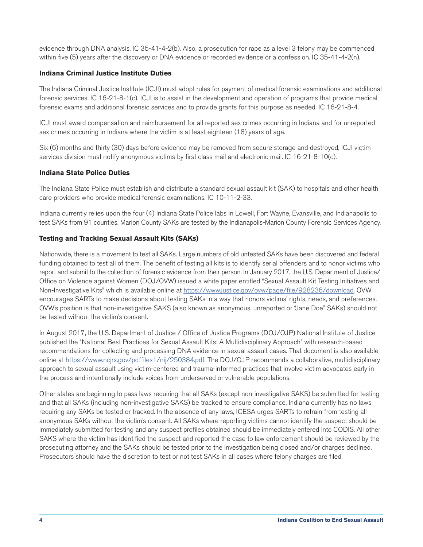evidence through DNA analysis. IC 35-41-4-2(b). Also, a prosecution for rape as a level 3 felony may be commenced within five (5) years after the discovery or DNA evidence or recorded evidence or a confession. IC 35-41-4-2(n).

# **Indiana Criminal Justice Institute Duties**

The Indiana Criminal Justice Institute (ICJI) must adopt rules for payment of medical forensic examinations and additional forensic services. IC 16-21-8-1(c). ICJI is to assist in the development and operation of programs that provide medical forensic exams and additional forensic services and to provide grants for this purpose as needed. IC 16-21-8-4.

ICJI must award compensation and reimbursement for all reported sex crimes occurring in Indiana and for unreported sex crimes occurring in Indiana where the victim is at least eighteen (18) years of age.

Six (6) months and thirty (30) days before evidence may be removed from secure storage and destroyed, ICJI victim services division must notify anonymous victims by first class mail and electronic mail. IC 16-21-8-10(c).

# **Indiana State Police Duties**

The Indiana State Police must establish and distribute a standard sexual assault kit (SAK) to hospitals and other health care providers who provide medical forensic examinations. IC 10-11-2-33.

Indiana currently relies upon the four (4) Indiana State Police labs in Lowell, Fort Wayne, Evansville, and Indianapolis to test SAKs from 91 counties. Marion County SAKs are tested by the Indianapolis-Marion County Forensic Services Agency.

# **Testing and Tracking Sexual Assault Kits (SAKs)**

Nationwide, there is a movement to test all SAKs. Large numbers of old untested SAKs have been discovered and federal funding obtained to test all of them. The benefit of testing all kits is to identify serial offenders and to honor victims who report and submit to the collection of forensic evidence from their person. In January 2017, the U.S. Department of Justice/ Office on Violence against Women (DOJ/OVW) issued a white paper entitled "Sexual Assault Kit Testing Initiatives and Non-Investigative Kits" which is available online at <https://www.justice.gov/ovw/page/file/928236/download>. OVW encourages SARTs to make decisions about testing SAKs in a way that honors victims' rights, needs, and preferences. OVW's position is that non-investigative SAKS (also known as anonymous, unreported or "Jane Doe" SAKs) should not be tested without the victim's consent.

In August 2017, the U.S. Department of Justice / Office of Justice Programs (DOJ/OJP) National Institute of Justice published the "National Best Practices for Sexual Assault Kits: A Multidisciplinary Approach" with research-based recommendations for collecting and processing DNA evidence in sexual assault cases. That document is also available online at<https://www.ncjrs.gov/pdffiles1/nij/250384.pdf>. The DOJ/OJP recommends a collaborative, multidisciplinary approach to sexual assault using victim-centered and trauma-informed practices that involve victim advocates early in the process and intentionally include voices from underserved or vulnerable populations.

Other states are beginning to pass laws requiring that all SAKs (except non-investigative SAKS) be submitted for testing and that all SAKs (including non-investigative SAKS) be tracked to ensure compliance. Indiana currently has no laws requiring any SAKs be tested or tracked. In the absence of any laws, ICESA urges SARTs to refrain from testing all anonymous SAKs without the victim's consent. All SAKs where reporting victims cannot identify the suspect should be immediately submitted for testing and any suspect profiles obtained should be immediately entered into CODIS. All other SAKS where the victim has identified the suspect and reported the case to law enforcement should be reviewed by the prosecuting attorney and the SAKs should be tested prior to the investigation being closed and/or charges declined. Prosecutors should have the discretion to test or not test SAKs in all cases where felony charges are filed.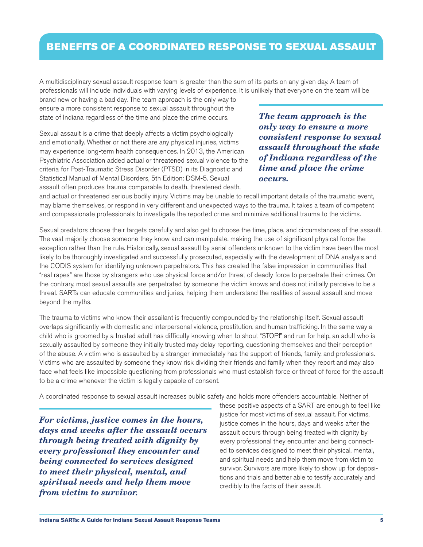# <span id="page-5-0"></span>BENEFITS OF A COORDINATED RESPONSE TO SEXUAL ASSAULT

A multidisciplinary sexual assault response team is greater than the sum of its parts on any given day. A team of professionals will include individuals with varying levels of experience. It is unlikely that everyone on the team will be

brand new or having a bad day. The team approach is the only way to ensure a more consistent response to sexual assault throughout the state of Indiana regardless of the time and place the crime occurs.

Sexual assault is a crime that deeply affects a victim psychologically and emotionally. Whether or not there are any physical injuries, victims may experience long-term health consequences. In 2013, the American Psychiatric Association added actual or threatened sexual violence to the criteria for Post-Traumatic Stress Disorder (PTSD) in its Diagnostic and Statistical Manual of Mental Disorders, 5th Edition: DSM-5. Sexual assault often produces trauma comparable to death, threatened death,

*The team approach is the only way to ensure a more consistent response to sexual assault throughout the state of Indiana regardless of the time and place the crime occurs.* 

and actual or threatened serious bodily injury. Victims may be unable to recall important details of the traumatic event, may blame themselves, or respond in very different and unexpected ways to the trauma. It takes a team of competent and compassionate professionals to investigate the reported crime and minimize additional trauma to the victims.

Sexual predators choose their targets carefully and also get to choose the time, place, and circumstances of the assault. The vast majority choose someone they know and can manipulate, making the use of significant physical force the exception rather than the rule. Historically, sexual assault by serial offenders unknown to the victim have been the most likely to be thoroughly investigated and successfully prosecuted, especially with the development of DNA analysis and the CODIS system for identifying unknown perpetrators. This has created the false impression in communities that "real rapes" are those by strangers who use physical force and/or threat of deadly force to perpetrate their crimes. On the contrary, most sexual assaults are perpetrated by someone the victim knows and does not initially perceive to be a threat. SARTs can educate communities and juries, helping them understand the realities of sexual assault and move beyond the myths.

The trauma to victims who know their assailant is frequently compounded by the relationship itself. Sexual assault overlaps significantly with domestic and interpersonal violence, prostitution, and human trafficking. In the same way a child who is groomed by a trusted adult has difficulty knowing when to shout "STOP!" and run for help, an adult who is sexually assaulted by someone they initially trusted may delay reporting, questioning themselves and their perception of the abuse. A victim who is assaulted by a stranger immediately has the support of friends, family, and professionals. Victims who are assaulted by someone they know risk dividing their friends and family when they report and may also face what feels like impossible questioning from professionals who must establish force or threat of force for the assault to be a crime whenever the victim is legally capable of consent.

A coordinated response to sexual assault increases public safety and holds more offenders accountable. Neither of

*For victims, justice comes in the hours, days and weeks after the assault occurs through being treated with dignity by every professional they encounter and being connected to services designed to meet their physical, mental, and spiritual needs and help them move from victim to survivor.* 

these positive aspects of a SART are enough to feel like justice for most victims of sexual assault. For victims, justice comes in the hours, days and weeks after the assault occurs through being treated with dignity by every professional they encounter and being connected to services designed to meet their physical, mental, and spiritual needs and help them move from victim to survivor. Survivors are more likely to show up for depositions and trials and better able to testify accurately and credibly to the facts of their assault.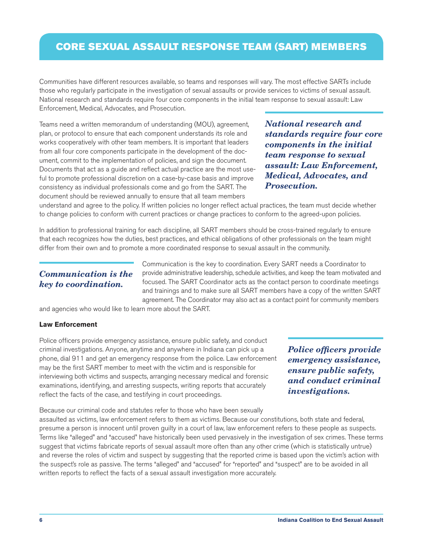# <span id="page-6-0"></span>CORE SEXUAL ASSAULT RESPONSE TEAM (SART) MEMBERS

Communities have different resources available, so teams and responses will vary. The most effective SARTs include those who regularly participate in the investigation of sexual assaults or provide services to victims of sexual assault. National research and standards require four core components in the initial team response to sexual assault: Law Enforcement, Medical, Advocates, and Prosecution.

Teams need a written memorandum of understanding (MOU), agreement, plan, or protocol to ensure that each component understands its role and works cooperatively with other team members. It is important that leaders from all four core components participate in the development of the document, commit to the implementation of policies, and sign the document. Documents that act as a guide and reflect actual practice are the most useful to promote professional discretion on a case-by-case basis and improve consistency as individual professionals come and go from the SART. The document should be reviewed annually to ensure that all team members

*National research and standards require four core components in the initial team response to sexual assault: Law Enforcement, Medical, Advocates, and Prosecution.* 

understand and agree to the policy. If written policies no longer reflect actual practices, the team must decide whether to change policies to conform with current practices or change practices to conform to the agreed-upon policies.

In addition to professional training for each discipline, all SART members should be cross-trained regularly to ensure that each recognizes how the duties, best practices, and ethical obligations of other professionals on the team might differ from their own and to promote a more coordinated response to sexual assault in the community.

# *Communication is the key to coordination.*

Communication is the key to coordination. Every SART needs a Coordinator to provide administrative leadership, schedule activities, and keep the team motivated and focused. The SART Coordinator acts as the contact person to coordinate meetings and trainings and to make sure all SART members have a copy of the written SART agreement. The Coordinator may also act as a contact point for community members

and agencies who would like to learn more about the SART.

#### **Law Enforcement**

Police officers provide emergency assistance, ensure public safety, and conduct criminal investigations. Anyone, anytime and anywhere in Indiana can pick up a phone, dial 911 and get an emergency response from the police. Law enforcement may be the first SART member to meet with the victim and is responsible for interviewing both victims and suspects, arranging necessary medical and forensic examinations, identifying, and arresting suspects, writing reports that accurately reflect the facts of the case, and testifying in court proceedings.

*Police officers provide emergency assistance, ensure public safety, and conduct criminal investigations.*

Because our criminal code and statutes refer to those who have been sexually assaulted as victims, law enforcement refers to them as victims. Because our constitutions, both state and federal, presume a person is innocent until proven guilty in a court of law, law enforcement refers to these people as suspects. Terms like "alleged" and "accused" have historically been used pervasively in the investigation of sex crimes. These terms suggest that victims fabricate reports of sexual assault more often than any other crime (which is statistically untrue) and reverse the roles of victim and suspect by suggesting that the reported crime is based upon the victim's action with the suspect's role as passive. The terms "alleged" and "accused" for "reported" and "suspect" are to be avoided in all written reports to reflect the facts of a sexual assault investigation more accurately.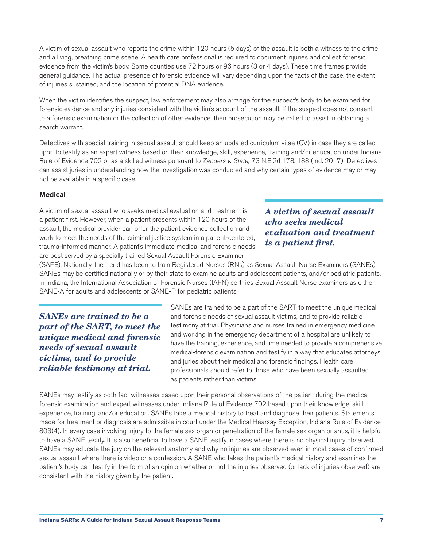<span id="page-7-0"></span>A victim of sexual assault who reports the crime within 120 hours (5 days) of the assault is both a witness to the crime and a living, breathing crime scene. A health care professional is required to document injuries and collect forensic evidence from the victim's body. Some counties use 72 hours or 96 hours (3 or 4 days). These time frames provide general guidance. The actual presence of forensic evidence will vary depending upon the facts of the case, the extent of injuries sustained, and the location of potential DNA evidence.

When the victim identifies the suspect, law enforcement may also arrange for the suspect's body to be examined for forensic evidence and any injuries consistent with the victim's account of the assault. If the suspect does not consent to a forensic examination or the collection of other evidence, then prosecution may be called to assist in obtaining a search warrant.

Detectives with special training in sexual assault should keep an updated curriculum vitae (CV) in case they are called upon to testify as an expert witness based on their knowledge, skill, experience, training and/or education under Indiana Rule of Evidence 702 or as a skilled witness pursuant to *Zanders v. State,* 73 N.E.2d 178, 188 (Ind. 2017) Detectives can assist juries in understanding how the investigation was conducted and why certain types of evidence may or may not be available in a specific case.

#### **Medical**

A victim of sexual assault who seeks medical evaluation and treatment is a patient first. However, when a patient presents within 120 hours of the assault, the medical provider can offer the patient evidence collection and work to meet the needs of the criminal justice system in a patient-centered, trauma-informed manner. A patient's immediate medical and forensic needs are best served by a specially trained Sexual Assault Forensic Examiner

# *A victim of sexual assault who seeks medical evaluation and treatment is a patient first.*

(SAFE). Nationally, the trend has been to train Registered Nurses (RNs) as Sexual Assault Nurse Examiners (SANEs). SANEs may be certified nationally or by their state to examine adults and adolescent patients, and/or pediatric patients. In Indiana, the International Association of Forensic Nurses (IAFN) certifies Sexual Assault Nurse examiners as either SANE-A for adults and adolescents or SANE-P for pediatric patients.

*SANEs are trained to be a part of the SART, to meet the unique medical and forensic needs of sexual assault victims, and to provide reliable testimony at trial.* 

SANEs are trained to be a part of the SART, to meet the unique medical and forensic needs of sexual assault victims, and to provide reliable testimony at trial. Physicians and nurses trained in emergency medicine and working in the emergency department of a hospital are unlikely to have the training, experience, and time needed to provide a comprehensive medical-forensic examination and testify in a way that educates attorneys and juries about their medical and forensic findings. Health care professionals should refer to those who have been sexually assaulted as patients rather than victims.

SANEs may testify as both fact witnesses based upon their personal observations of the patient during the medical forensic examination and expert witnesses under Indiana Rule of Evidence 702 based upon their knowledge, skill, experience, training, and/or education. SANEs take a medical history to treat and diagnose their patients. Statements made for treatment or diagnosis are admissible in court under the Medical Hearsay Exception, Indiana Rule of Evidence 803(4). In every case involving injury to the female sex organ or penetration of the female sex organ or anus, it is helpful to have a SANE testify. It is also beneficial to have a SANE testify in cases where there is no physical injury observed. SANEs may educate the jury on the relevant anatomy and why no injuries are observed even in most cases of confirmed sexual assault where there is video or a confession. A SANE who takes the patient's medical history and examines the patient's body can testify in the form of an opinion whether or not the injuries observed (or lack of injuries observed) are consistent with the history given by the patient.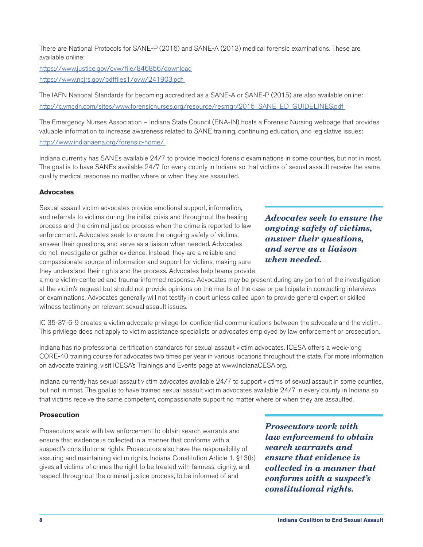<span id="page-8-0"></span>There are National Protocols for SANE-P (2016) and SANE-A (2013) medical forensic examinations. These are available online:

<https://www.justice.gov/ovw/file/846856/download> [https://www.ncjrs.gov/pdffiles1/ovw/241903.pdf](https://www.ncjrs.gov/pdffiles1/ovw/241903.pdf ) 

The IAFN National Standards for becoming accredited as a SANE-A or SANE-P (2015) are also available online: http://c.ymcdn.com/sites/www.forensicnurses.org/resource/resmgr/2015\_SANE\_ED\_GUIDELINES.pdf

The Emergency Nurses Association – Indiana State Council (ENA-IN) hosts a Forensic Nursing webpage that provides valuable information to increase awareness related to SANE training, continuing education, and legislative issues: [http://www.indianaena.org/forensic-home/](http://www.indianaena.org/forensic-home/ ) 

Indiana currently has SANEs available 24/7 to provide medical forensic examinations in some counties, but not in most. The goal is to have SANEs available 24/7 for every county in Indiana so that victims of sexual assault receive the same quality medical response no matter where or when they are assaulted.

# **Advocates**

Sexual assault victim advocates provide emotional support, information, and referrals to victims during the initial crisis and throughout the healing process and the criminal justice process when the crime is reported to law enforcement. Advocates seek to ensure the ongoing safety of victims, answer their questions, and serve as a liaison when needed. Advocates do not investigate or gather evidence. Instead, they are a reliable and compassionate source of information and support for victims, making sure they understand their rights and the process. Advocates help teams provide

*Advocates seek to ensure the ongoing safety of victims, answer their questions, and serve as a liaison when needed.*

a more victim-centered and trauma-informed response. Advocates may be present during any portion of the investigation at the victim's request but should not provide opinions on the merits of the case or participate in conducting interviews or examinations. Advocates generally will not testify in court unless called upon to provide general expert or skilled witness testimony on relevant sexual assault issues.

IC 35-37-6-9 creates a victim advocate privilege for confidential communications between the advocate and the victim. This privilege does not apply to victim assistance specialists or advocates employed by law enforcement or prosecution.

Indiana has no professional certification standards for sexual assault victim advocates. ICESA offers a week-long CORE-40 training course for advocates two times per year in various locations throughout the state. For more information on advocate training, visit ICESA's Trainings and Events page at www.IndianaCESA.org.

Indiana currently has sexual assault victim advocates available 24/7 to support victims of sexual assault in some counties, but not in most. The goal is to have trained sexual assault victim advocates available 24/7 in every county in Indiana so that victims receive the same competent, compassionate support no matter where or when they are assaulted.

# **Prosecution**

Prosecutors work with law enforcement to obtain search warrants and ensure that evidence is collected in a manner that conforms with a suspect's constitutional rights. Prosecutors also have the responsibility of assuring and maintaining victim rights. Indiana Constitution Article 1, §13(b) gives all victims of crimes the right to be treated with fairness, dignity, and respect throughout the criminal justice process, to be informed of and

*Prosecutors work with law enforcement to obtain search warrants and ensure that evidence is collected in a manner that conforms with a suspect's constitutional rights.*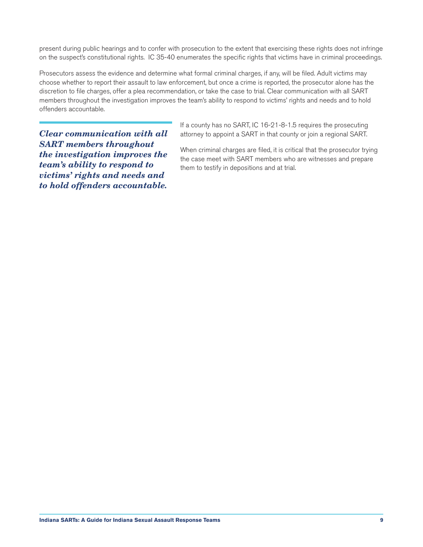present during public hearings and to confer with prosecution to the extent that exercising these rights does not infringe on the suspect's constitutional rights. IC 35-40 enumerates the specific rights that victims have in criminal proceedings.

Prosecutors assess the evidence and determine what formal criminal charges, if any, will be filed. Adult victims may choose whether to report their assault to law enforcement, but once a crime is reported, the prosecutor alone has the discretion to file charges, offer a plea recommendation, or take the case to trial. Clear communication with all SART members throughout the investigation improves the team's ability to respond to victims' rights and needs and to hold offenders accountable.

*Clear communication with all SART members throughout the investigation improves the team's ability to respond to victims' rights and needs and to hold offenders accountable.* 

If a county has no SART, IC 16-21-8-1.5 requires the prosecuting attorney to appoint a SART in that county or join a regional SART.

When criminal charges are filed, it is critical that the prosecutor trying the case meet with SART members who are witnesses and prepare them to testify in depositions and at trial.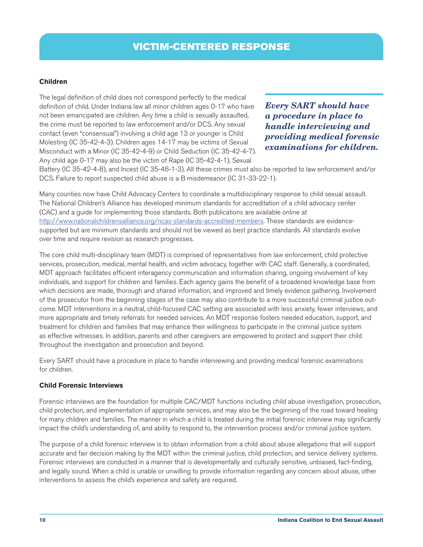# <span id="page-10-0"></span>**Children**

The legal definition of child does not correspond perfectly to the medical definition of child. Under Indiana law all minor children ages 0-17 who have not been emancipated are children. Any time a child is sexually assaulted, the crime must be reported to law enforcement and/or DCS. Any sexual contact (even "consensual") involving a child age 13 or younger is Child Molesting (IC 35-42-4-3). Children ages 14-17 may be victims of Sexual Misconduct with a Minor (IC 35-42-4-9) or Child Seduction (IC 35-42-4-7). Any child age 0-17 may also be the victim of Rape (IC 35-42-4-1), Sexual

*Every SART should have a procedure in place to handle interviewing and providing medical forensic examinations for children.*

Battery (IC 35-42-4-8), and Incest (IC 35-46-1-3). All these crimes must also be reported to law enforcement and/or DCS. Failure to report suspected child abuse is a B misdemeanor (IC 31-33-22-1).

Many counties now have Child Advocacy Centers to coordinate a multidisciplinary response to child sexual assault. The National Children's Alliance has developed minimum standards for accreditation of a child advocacy center (CAC) and a guide for implementing those standards. Both publications are available online at <http://www.nationalchildrensalliance.org/ncas-standards-accredited-members>. These standards are evidencesupported but are minimum standards and should not be viewed as best practice standards. All standards evolve over time and require revision as research progresses.

The core child multi-disciplinary team (MDT) is comprised of representatives from law enforcement, child protective services, prosecution, medical, mental health, and victim advocacy, together with CAC staff. Generally, a coordinated, MDT approach facilitates efficient interagency communication and information sharing, ongoing involvement of key individuals, and support for children and families. Each agency gains the benefit of a broadened knowledge base from which decisions are made, thorough and shared information, and improved and timely evidence gathering. Involvement of the prosecutor from the beginning stages of the case may also contribute to a more successful criminal justice outcome. MDT interventions in a neutral, child-focused CAC setting are associated with less anxiety, fewer interviews, and more appropriate and timely referrals for needed services. An MDT response fosters needed education, support, and treatment for children and families that may enhance their willingness to participate in the criminal justice system as effective witnesses. In addition, parents and other caregivers are empowered to protect and support their child throughout the investigation and prosecution and beyond.

Every SART should have a procedure in place to handle interviewing and providing medical forensic examinations for children.

# **Child Forensic Interviews**

Forensic interviews are the foundation for multiple CAC/MDT functions including child abuse investigation, prosecution, child protection, and implementation of appropriate services, and may also be the beginning of the road toward healing for many children and families. The manner in which a child is treated during the initial forensic interview may significantly impact the child's understanding of, and ability to respond to, the intervention process and/or criminal justice system.

The purpose of a child forensic interview is to obtain information from a child about abuse allegations that will support accurate and fair decision making by the MDT within the criminal justice, child protection, and service delivery systems. Forensic interviews are conducted in a manner that is developmentally and culturally sensitive, unbiased, fact-finding, and legally sound. When a child is unable or unwilling to provide information regarding any concern about abuse, other interventions to assess the child's experience and safety are required.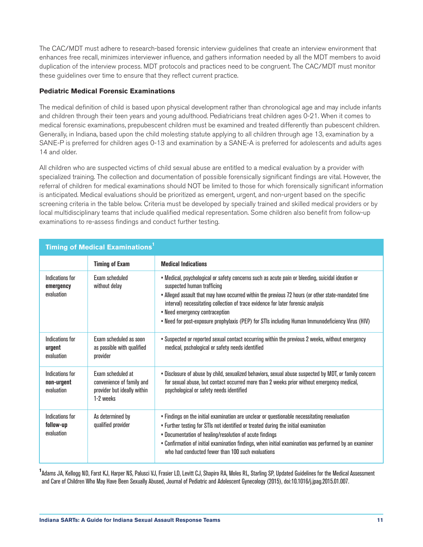<span id="page-11-0"></span>The CAC/MDT must adhere to research-based forensic interview guidelines that create an interview environment that enhances free recall, minimizes interviewer influence, and gathers information needed by all the MDT members to avoid duplication of the interview process. MDT protocols and practices need to be congruent. The CAC/MDT must monitor these guidelines over time to ensure that they reflect current practice.

# **Pediatric Medical Forensic Examinations**

The medical definition of child is based upon physical development rather than chronological age and may include infants and children through their teen years and young adulthood. Pediatricians treat children ages 0-21. When it comes to medical forensic examinations, prepubescent children must be examined and treated differently than pubescent children. Generally, in Indiana, based upon the child molesting statute applying to all children through age 13, examination by a SANE-P is preferred for children ages 0-13 and examination by a SANE-A is preferred for adolescents and adults ages 14 and older.

All children who are suspected victims of child sexual abuse are entitled to a medical evaluation by a provider with specialized training. The collection and documentation of possible forensically significant findings are vital. However, the referral of children for medical examinations should NOT be limited to those for which forensically significant information is anticipated. Medical evaluations should be prioritized as emergent, urgent, and non-urgent based on the specific screening criteria in the table below. Criteria must be developed by specially trained and skilled medical providers or by local multidisciplinary teams that include qualified medical representation. Some children also benefit from follow-up examinations to re-assess findings and conduct further testing.

| Timing of Medical Examinations <sup>1</sup> |                                                                                            |                                                                                                                                                                                                                                                                                                                                                                                                                                                                 |  |  |
|---------------------------------------------|--------------------------------------------------------------------------------------------|-----------------------------------------------------------------------------------------------------------------------------------------------------------------------------------------------------------------------------------------------------------------------------------------------------------------------------------------------------------------------------------------------------------------------------------------------------------------|--|--|
|                                             | <b>Timing of Exam</b>                                                                      | <b>Medical Indications</b>                                                                                                                                                                                                                                                                                                                                                                                                                                      |  |  |
| Indications for<br>emergency<br>evaluation  | Exam scheduled<br>without delay                                                            | • Medical, psychological or safety concerns such as acute pain or bleeding, suicidal ideation or<br>suspected human trafficing<br>. Alleged assault that may have occurred within the previous 72 hours (or other state-mandated time<br>interval) necessitating collection of trace evidence for later forensic analysis<br>. Need emergency contraception<br>• Need for post-exposure prophylaxis (PEP) for STIs including Human Immunodeficiency Virus (HIV) |  |  |
| Indications for<br>urgent<br>evaluation     | Exam scheduled as soon<br>as possible with qualified<br>provider                           | • Suspected or reported sexual contact occurring within the previous 2 weeks, without emergency<br>medical, pschological or safety needs identified                                                                                                                                                                                                                                                                                                             |  |  |
| Indications for<br>non-urgent<br>evaluation | Exam scheduled at<br>convenience of family and<br>provider but ideally within<br>1-2 weeks | . Disclosure of abuse by child, sexualized behaviors, sexual abuse suspected by MDT, or family concern<br>for sexual abuse, but contact occurred more than 2 weeks prior without emergency medical,<br>psychological or safety needs identified                                                                                                                                                                                                                 |  |  |
| Indications for<br>follow-up<br>evaluation  | As determined by<br>qualified provider                                                     | • Findings on the initial examination are unclear or questionable necessitating reevaluation<br>. Further testing for STIs not identified or treated during the initial examination<br>. Documentation of healing/resolution of acute findings<br>• Confirmation of initial examination findings, when initial examination was performed by an examiner<br>who had conducted fewer than 100 such evaluations                                                    |  |  |

<sup>1</sup> Adams JA, Kellogg ND, Farst KJ, Harper NS, Palusci VJ, Frasier LD, Levitt CJ, Shapiro RA, Moles RL, Starling SP, Updated Guidelines for the Medical Assessment and Care of Children Who May Have Been Sexually Abused, Journal of Pediatric and Adolescent Gynecology (2015), doi:10.1016/j.jpag.2015.01.007.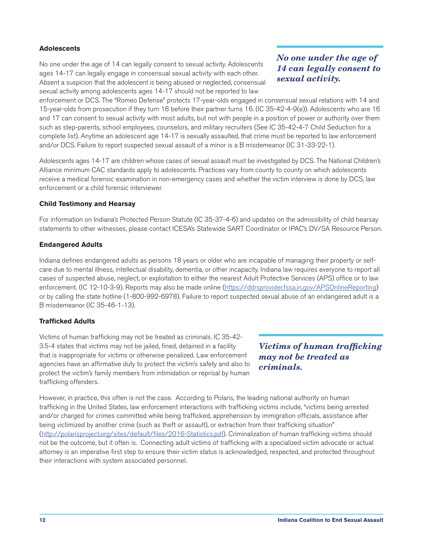# <span id="page-12-0"></span>**Adolescents**

No one under the age of 14 can legally consent to sexual activity. Adolescents ages 14-17 can legally engage in consensual sexual activity with each other. Absent a suspicion that the adolescent is being abused or neglected, consensual sexual activity among adolescents ages 14-17 should not be reported to law

*No one under the age of 14 can legally consent to sexual activity.* 

enforcement or DCS. The "Romeo Defense" protects 17-year-olds engaged in consensual sexual relations with 14 and 15-year-olds from prosecution if they turn 18 before their partner turns 16. (IC 35-42-4-9(e)). Adolescents who are 16 and 17 can consent to sexual activity with most adults, but not with people in a position of power or authority over them such as step-parents, school employees, counselors, and military recruiters (See IC 35-42-4-7 Child Seduction for a complete list). Anytime an adolescent age 14-17 is sexually assaulted, that crime must be reported to law enforcement and/or DCS. Failure to report suspected sexual assault of a minor is a B misdemeanor (IC 31-33-22-1).

Adolescents ages 14-17 are children whose cases of sexual assault must be investigated by DCS. The National Children's Alliance minimum CAC standards apply to adolescents. Practices vary from county to county on which adolescents receive a medical forensic examination in non-emergency cases and whether the victim interview is done by DCS, law enforcement or a child forensic interviewer.

#### **Child Testimony and Hearsay**

For information on Indiana's Protected Person Statute (IC 35-37-4-6) and updates on the admissibility of child hearsay statements to other witnesses, please contact ICESA's Statewide SART Coordinator or IPAC's DV/SA Resource Person.

#### **Endangered Adults**

Indiana defines endangered adults as persons 18 years or older who are incapable of managing their property or selfcare due to mental illness, intellectual disability, dementia, or other incapacity. Indiana law requires everyone to report all cases of suspected abuse, neglect, or exploitation to either the nearest Adult Protective Services (APS) office or to law enforcement. (IC 12-10-3-9). Reports may also be made online [\(https://ddrsprovider.fssa.in.gov/APSOnlineReporting\)](https://ddrsprovider.fssa.in.gov/APSOnlineReporting) or by calling the state hotline (1-800-992-6978). Failure to report suspected sexual abuse of an endangered adult is a B misdemeanor (IC 35-46-1-13).

#### **Trafficked Adults**

Victims of human trafficking may not be treated as criminals. IC 35-42- 3.5-4 states that victims may not be jailed, fined, detained in a facility that is inappropriate for victims or otherwise penalized. Law enforcement agencies have an affirmative duty to protect the victim's safety and also to protect the victim's family members from intimidation or reprisal by human trafficking offenders.

*Victims of human trafficking may not be treated as criminals.* 

However, in practice, this often is not the case. According to Polaris, the leading national authority on human trafficking in the United States, law enforcement interactions with trafficking victims include, "victims being arrested and/or charged for crimes committed while being trafficked, apprehension by immigration officials, assistance after being victimized by another crime (such as theft or assault), or extraction from their trafficking situation" [\(http://polarisproject.org/sites/default/files/2016-Statistics.pdf](http://polarisproject.org/sites/default/files/2016-Statistics.pdf)). Criminalization of human trafficking victims should not be the outcome, but it often is. Connecting adult victims of trafficking with a specialized victim advocate or actual attorney is an imperative first step to ensure their victim status is acknowledged, respected, and protected throughout their interactions with system associated personnel.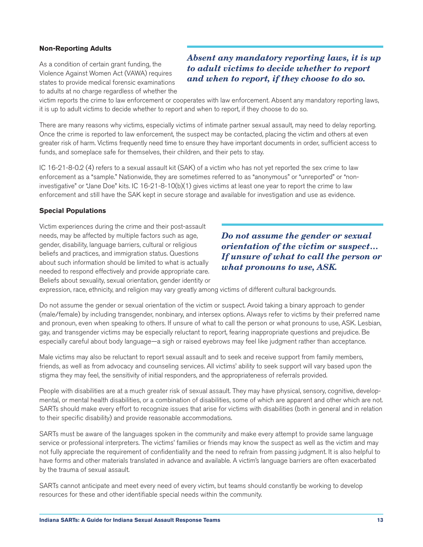# <span id="page-13-0"></span>**Non-Reporting Adults**

As a condition of certain grant funding, the Violence Against Women Act (VAWA) requires states to provide medical forensic examinations to adults at no charge regardless of whether the

# *Absent any mandatory reporting laws, it is up to adult victims to decide whether to report and when to report, if they choose to do so.*

victim reports the crime to law enforcement or cooperates with law enforcement. Absent any mandatory reporting laws, it is up to adult victims to decide whether to report and when to report, if they choose to do so.

There are many reasons why victims, especially victims of intimate partner sexual assault, may need to delay reporting. Once the crime is reported to law enforcement, the suspect may be contacted, placing the victim and others at even greater risk of harm. Victims frequently need time to ensure they have important documents in order, sufficient access to funds, and someplace safe for themselves, their children, and their pets to stay.

IC 16-21-8-0.2 (4) refers to a sexual assault kit (SAK) of a victim who has not yet reported the sex crime to law enforcement as a "sample." Nationwide, they are sometimes referred to as "anonymous" or "unreported" or "noninvestigative" or "Jane Doe" kits. IC 16-21-8-10(b)(1) gives victims at least one year to report the crime to law enforcement and still have the SAK kept in secure storage and available for investigation and use as evidence.

#### **Special Populations**

Victim experiences during the crime and their post-assault needs, may be affected by multiple factors such as age, gender, disability, language barriers, cultural or religious beliefs and practices, and immigration status. Questions about such information should be limited to what is actually needed to respond effectively and provide appropriate care. Beliefs about sexuality, sexual orientation, gender identity or

*Do not assume the gender or sexual orientation of the victim or suspect… If unsure of what to call the person or what pronouns to use, ASK.*

expression, race, ethnicity, and religion may vary greatly among victims of different cultural backgrounds.

Do not assume the gender or sexual orientation of the victim or suspect. Avoid taking a binary approach to gender (male/female) by including transgender, nonbinary, and intersex options. Always refer to victims by their preferred name and pronoun, even when speaking to others. If unsure of what to call the person or what pronouns to use, ASK. Lesbian, gay, and transgender victims may be especially reluctant to report, fearing inappropriate questions and prejudice. Be especially careful about body language—a sigh or raised eyebrows may feel like judgment rather than acceptance.

Male victims may also be reluctant to report sexual assault and to seek and receive support from family members, friends, as well as from advocacy and counseling services. All victims' ability to seek support will vary based upon the stigma they may feel, the sensitivity of initial responders, and the appropriateness of referrals provided.

People with disabilities are at a much greater risk of sexual assault. They may have physical, sensory, cognitive, developmental, or mental health disabilities, or a combination of disabilities, some of which are apparent and other which are not. SARTs should make every effort to recognize issues that arise for victims with disabilities (both in general and in relation to their specific disability) and provide reasonable accommodations.

SARTs must be aware of the languages spoken in the community and make every attempt to provide same language service or professional interpreters. The victims' families or friends may know the suspect as well as the victim and may not fully appreciate the requirement of confidentiality and the need to refrain from passing judgment. It is also helpful to have forms and other materials translated in advance and available. A victim's language barriers are often exacerbated by the trauma of sexual assault.

SARTs cannot anticipate and meet every need of every victim, but teams should constantly be working to develop resources for these and other identifiable special needs within the community.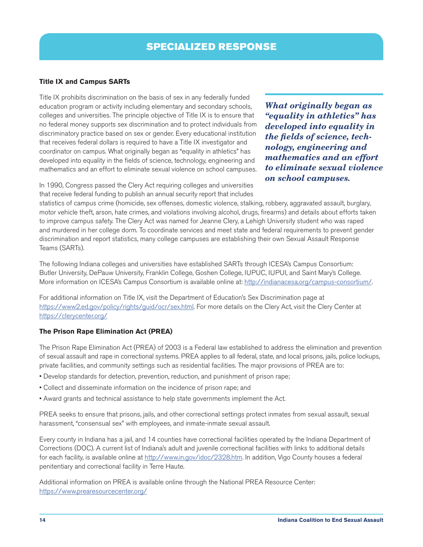# <span id="page-14-0"></span>**Title IX and Campus SARTs**

Title IX prohibits discrimination on the basis of sex in any federally funded education program or activity including elementary and secondary schools, colleges and universities. The principle objective of Title IX is to ensure that no federal money supports sex discrimination and to protect individuals from discriminatory practice based on sex or gender. Every educational institution that receives federal dollars is required to have a Title IX investigator and coordinator on campus. What originally began as "equality in athletics" has developed into equality in the fields of science, technology, engineering and mathematics and an effort to eliminate sexual violence on school campuses.

*What originally began as "equality in athletics" has developed into equality in the fields of science, technology, engineering and mathematics and an effort to eliminate sexual violence on school campuses.* 

In 1990, Congress passed the Clery Act requiring colleges and universities that receive federal funding to publish an annual security report that includes

statistics of campus crime (homicide, sex offenses, domestic violence, stalking, robbery, aggravated assault, burglary, motor vehicle theft, arson, hate crimes, and violations involving alcohol, drugs, firearms) and details about efforts taken to improve campus safety. The Clery Act was named for Jeanne Clery, a Lehigh University student who was raped and murdered in her college dorm. To coordinate services and meet state and federal requirements to prevent gender discrimination and report statistics, many college campuses are establishing their own Sexual Assault Response Teams (SARTs).

The following Indiana colleges and universities have established SARTs through ICESA's Campus Consortium: Butler University, DePauw University, Franklin College, Goshen College, IUPUC, IUPUI, and Saint Mary's College. More information on ICESA's Campus Consortium is available online at:<http://indianacesa.org/campus-consortium/>.

For additional information on Title IX, visit the Department of Education's Sex Discrimination page at <https://www2.ed.gov/policy/rights/guid/ocr/sex.html>. For more details on the Clery Act, visit the Clery Center at <https://clerycenter.org/>

# **The Prison Rape Elimination Act (PREA)**

The Prison Rape Elimination Act (PREA) of 2003 is a Federal law established to address the elimination and prevention of sexual assault and rape in correctional systems. PREA applies to all federal, state, and local prisons, jails, police lockups, private facilities, and community settings such as residential facilities. The major provisions of PREA are to:

- Develop standards for detection, prevention, reduction, and punishment of prison rape;
- Collect and disseminate information on the incidence of prison rape; and
- Award grants and technical assistance to help state governments implement the Act.

PREA seeks to ensure that prisons, jails, and other correctional settings protect inmates from sexual assault, sexual harassment, "consensual sex" with employees, and inmate-inmate sexual assault.

Every county in Indiana has a jail, and 14 counties have correctional facilities operated by the Indiana Department of Corrections (DOC). A current list of Indiana's adult and juvenile correctional facilities with links to additional details for each facility, is available online at [http://www.in.gov/idoc/2328.htm.](http://www.in.gov/idoc/2328.htm) In addition, Vigo County houses a federal penitentiary and correctional facility in Terre Haute.

Additional information on PREA is available online through the National PREA Resource Center: <https://www.prearesourcecenter.org/>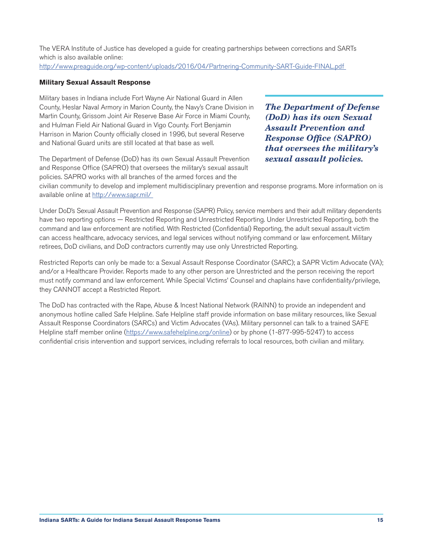<span id="page-15-0"></span>The VERA Institute of Justice has developed a guide for creating partnerships between corrections and SARTs which is also available online:

[http://www.preaguide.org/wp-content/uploads/2016/04/Partnering-Community-SART-Guide-FINAL.pdf](http://www.preaguide.org/wp-content/uploads/2016/04/Partnering-Community-SART-Guide-FINAL.pdf ) 

# **Military Sexual Assault Response**

Military bases in Indiana include Fort Wayne Air National Guard in Allen County, Heslar Naval Armory in Marion County, the Navy's Crane Division in Martin County, Grissom Joint Air Reserve Base Air Force in Miami County, and Hulman Field Air National Guard in Vigo County. Fort Benjamin Harrison in Marion County officially closed in 1996, but several Reserve and National Guard units are still located at that base as well.

*The Department of Defense (DoD) has its own Sexual Assault Prevention and Response Office (SAPRO) that oversees the military's sexual assault policies.*

The Department of Defense (DoD) has its own Sexual Assault Prevention and Response Office (SAPRO) that oversees the military's sexual assault policies. SAPRO works with all branches of the armed forces and the

civilian community to develop and implement multidisciplinary prevention and response programs. More information on is available online at [http://www.sapr.mil/](http://www.sapr.mil/ ) 

Under DoD's Sexual Assault Prevention and Response (SAPR) Policy, service members and their adult military dependents have two reporting options — Restricted Reporting and Unrestricted Reporting. Under Unrestricted Reporting, both the command and law enforcement are notified. With Restricted (Confidential) Reporting, the adult sexual assault victim can access healthcare, advocacy services, and legal services without notifying command or law enforcement. Military retirees, DoD civilians, and DoD contractors currently may use only Unrestricted Reporting.

Restricted Reports can only be made to: a Sexual Assault Response Coordinator (SARC); a SAPR Victim Advocate (VA); and/or a Healthcare Provider. Reports made to any other person are Unrestricted and the person receiving the report must notify command and law enforcement. While Special Victims' Counsel and chaplains have confidentiality/privilege, they CANNOT accept a Restricted Report.

The DoD has contracted with the Rape, Abuse & Incest National Network (RAINN) to provide an independent and anonymous hotline called Safe Helpline. Safe Helpline staff provide information on base military resources, like Sexual Assault Response Coordinators (SARCs) and Victim Advocates (VAs). Military personnel can talk to a trained SAFE Helpline staff member online (<https://www.safehelpline.org/online>) or by phone (1-877-995-5247) to access confidential crisis intervention and support services, including referrals to local resources, both civilian and military.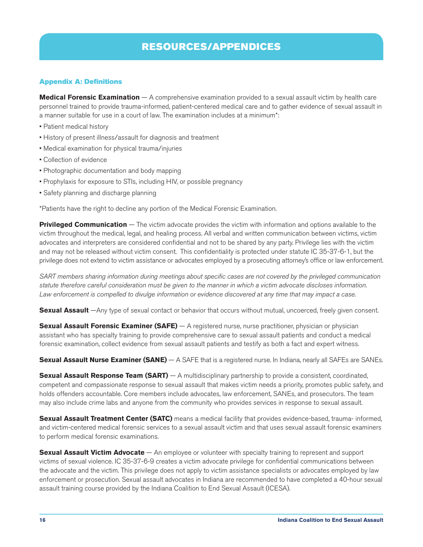# RESOURCES/APPENDICES

# <span id="page-16-0"></span>Appendix A: Definitions

**Medical Forensic Examination** — A comprehensive examination provided to a sexual assault victim by health care personnel trained to provide trauma-informed, patient-centered medical care and to gather evidence of sexual assault in a manner suitable for use in a court of law. The examination includes at a minimum\*:

- Patient medical history
- History of present illness/assault for diagnosis and treatment
- Medical examination for physical trauma/injuries
- Collection of evidence
- Photographic documentation and body mapping
- Prophylaxis for exposure to STIs, including HIV, or possible pregnancy
- Safety planning and discharge planning

\*Patients have the right to decline any portion of the Medical Forensic Examination.

**Privileged Communication** — The victim advocate provides the victim with information and options available to the victim throughout the medical, legal, and healing process. All verbal and written communication between victims, victim advocates and interpreters are considered confidential and not to be shared by any party. Privilege lies with the victim and may not be released without victim consent. This confidentiality is protected under statute IC 35-37-6-1, but the privilege does not extend to victim assistance or advocates employed by a prosecuting attorney's office or law enforcement.

*SART members sharing information during meetings about specific cases are not covered by the privileged communication statute therefore careful consideration must be given to the manner in which a victim advocate discloses information.*  Law enforcement is compelled to divulge information or evidence discovered at any time that may impact a case.

**Sexual Assault** —Any type of sexual contact or behavior that occurs without mutual, uncoerced, freely given consent.

**Sexual Assault Forensic Examiner (SAFE)** — A registered nurse, nurse practitioner, physician or physician assistant who has specialty training to provide comprehensive care to sexual assault patients and conduct a medical forensic examination, collect evidence from sexual assault patients and testify as both a fact and expert witness.

**Sexual Assault Nurse Examiner (SANE)** — A SAFE that is a registered nurse. In Indiana, nearly all SAFEs are SANEs.

**Sexual Assault Response Team (SART)** — A multidisciplinary partnership to provide a consistent, coordinated, competent and compassionate response to sexual assault that makes victim needs a priority, promotes public safety, and holds offenders accountable. Core members include advocates, law enforcement, SANEs, and prosecutors. The team may also include crime labs and anyone from the community who provides services in response to sexual assault.

**Sexual Assault Treatment Center (SATC)** means a medical facility that provides evidence-based, trauma- informed, and victim-centered medical forensic services to a sexual assault victim and that uses sexual assault forensic examiners to perform medical forensic examinations.

**Sexual Assault Victim Advocate** — An employee or volunteer with specialty training to represent and support victims of sexual violence. IC 35-37-6-9 creates a victim advocate privilege for confidential communications between the advocate and the victim. This privilege does not apply to victim assistance specialists or advocates employed by law enforcement or prosecution. Sexual assault advocates in Indiana are recommended to have completed a 40-hour sexual assault training course provided by the Indiana Coalition to End Sexual Assault (ICESA).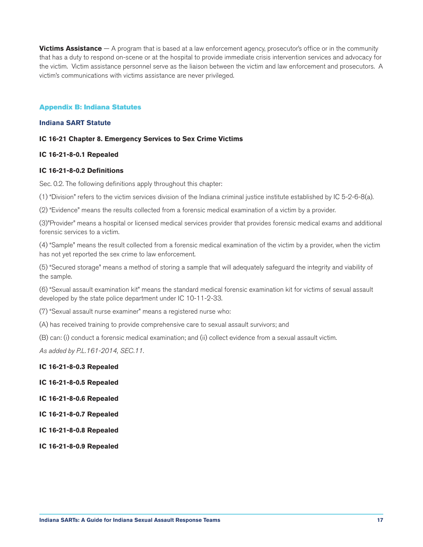<span id="page-17-0"></span>**Victims Assistance** — A program that is based at a law enforcement agency, prosecutor's office or in the community that has a duty to respond on-scene or at the hospital to provide immediate crisis intervention services and advocacy for the victim. Victim assistance personnel serve as the liaison between the victim and law enforcement and prosecutors. A victim's communications with victims assistance are never privileged.

#### Appendix B: Indiana Statutes

#### **Indiana SART Statute**

#### **IC 16-21 Chapter 8. Emergency Services to Sex Crime Victims**

#### **IC 16-21-8-0.1 Repealed**

#### **IC 16-21-8-0.2 Definitions**

Sec. 0.2. The following definitions apply throughout this chapter:

(1) "Division" refers to the victim services division of the Indiana criminal justice institute established by IC 5-2-6-8(a).

(2) "Evidence" means the results collected from a forensic medical examination of a victim by a provider.

(3)"Provider" means a hospital or licensed medical services provider that provides forensic medical exams and additional forensic services to a victim.

(4) "Sample" means the result collected from a forensic medical examination of the victim by a provider, when the victim has not yet reported the sex crime to law enforcement.

(5) "Secured storage" means a method of storing a sample that will adequately safeguard the integrity and viability of the sample.

(6) "Sexual assault examination kit" means the standard medical forensic examination kit for victims of sexual assault developed by the state police department under IC 10-11-2-33.

(7) "Sexual assault nurse examiner" means a registered nurse who:

(A) has received training to provide comprehensive care to sexual assault survivors; and

(B) can: (i) conduct a forensic medical examination; and (ii) collect evidence from a sexual assault victim.

*As added by P.L.161-2014, SEC.11.*

#### **IC 16-21-8-0.3 Repealed**

- **IC 16-21-8-0.5 Repealed**
- **IC 16-21-8-0.6 Repealed**

**IC 16-21-8-0.7 Repealed**

**IC 16-21-8-0.8 Repealed**

**IC 16-21-8-0.9 Repealed**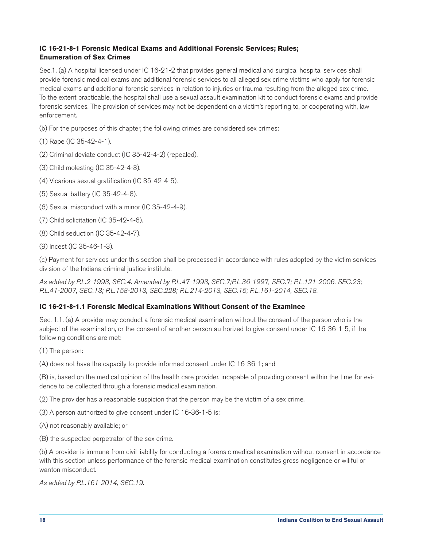# **IC 16-21-8-1 Forensic Medical Exams and Additional Forensic Services; Rules; Enumeration of Sex Crimes**

Sec.1. (a) A hospital licensed under IC 16-21-2 that provides general medical and surgical hospital services shall provide forensic medical exams and additional forensic services to all alleged sex crime victims who apply for forensic medical exams and additional forensic services in relation to injuries or trauma resulting from the alleged sex crime. To the extent practicable, the hospital shall use a sexual assault examination kit to conduct forensic exams and provide forensic services. The provision of services may not be dependent on a victim's reporting to, or cooperating with, law enforcement.

- (b) For the purposes of this chapter, the following crimes are considered sex crimes:
- (1) Rape (IC 35-42-4-1).
- (2) Criminal deviate conduct (IC 35-42-4-2) (repealed).
- (3) Child molesting (IC 35-42-4-3).
- (4) Vicarious sexual gratification (IC 35-42-4-5).
- (5) Sexual battery (IC 35-42-4-8).
- (6) Sexual misconduct with a minor (IC 35-42-4-9).
- (7) Child solicitation (IC 35-42-4-6).
- (8) Child seduction (IC 35-42-4-7).
- (9) Incest (IC 35-46-1-3).

(c) Payment for services under this section shall be processed in accordance with rules adopted by the victim services division of the Indiana criminal justice institute.

*As added by P.L.2-1993, SEC.4. Amended by P.L.47-1993, SEC.7;P.L.36-1997, SEC.7; P.L.121-2006, SEC.23; P.L.41-2007, SEC.13; P.L.158-2013, SEC.228; P.L.214-2013, SEC.15; P.L.161-2014, SEC.18.*

# **IC 16-21-8-1.1 Forensic Medical Examinations Without Consent of the Examinee**

Sec. 1.1. (a) A provider may conduct a forensic medical examination without the consent of the person who is the subject of the examination, or the consent of another person authorized to give consent under IC 16-36-1-5, if the following conditions are met:

(1) The person:

(A) does not have the capacity to provide informed consent under IC 16-36-1; and

(B) is, based on the medical opinion of the health care provider, incapable of providing consent within the time for evidence to be collected through a forensic medical examination.

(2) The provider has a reasonable suspicion that the person may be the victim of a sex crime.

(3) A person authorized to give consent under IC 16-36-1-5 is:

(A) not reasonably available; or

(B) the suspected perpetrator of the sex crime.

(b) A provider is immune from civil liability for conducting a forensic medical examination without consent in accordance with this section unless performance of the forensic medical examination constitutes gross negligence or willful or wanton misconduct.

*As added by P.L.161-2014, SEC.19.*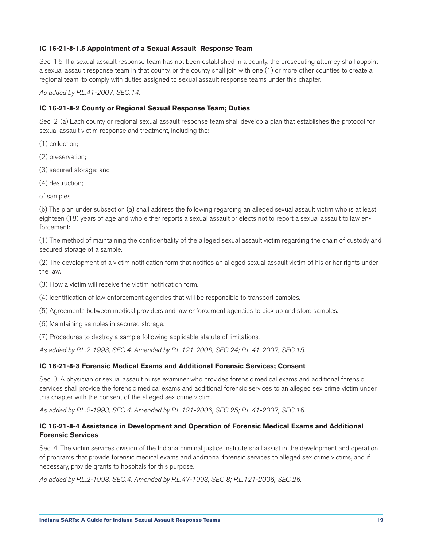# **IC 16-21-8-1.5 Appointment of a Sexual Assault Response Team**

Sec. 1.5. If a sexual assault response team has not been established in a county, the prosecuting attorney shall appoint a sexual assault response team in that county, or the county shall join with one (1) or more other counties to create a regional team, to comply with duties assigned to sexual assault response teams under this chapter.

*As added by P.L.41-2007, SEC.14.*

# **IC 16-21-8-2 County or Regional Sexual Response Team; Duties**

Sec. 2. (a) Each county or regional sexual assault response team shall develop a plan that establishes the protocol for sexual assault victim response and treatment, including the:

- (1) collection;
- (2) preservation;
- (3) secured storage; and
- (4) destruction;

of samples.

(b) The plan under subsection (a) shall address the following regarding an alleged sexual assault victim who is at least eighteen (18) years of age and who either reports a sexual assault or elects not to report a sexual assault to law enforcement:

(1) The method of maintaining the confidentiality of the alleged sexual assault victim regarding the chain of custody and secured storage of a sample.

(2) The development of a victim notification form that notifies an alleged sexual assault victim of his or her rights under the law.

(3) How a victim will receive the victim notification form.

(4) Identification of law enforcement agencies that will be responsible to transport samples.

- (5) Agreements between medical providers and law enforcement agencies to pick up and store samples.
- (6) Maintaining samples in secured storage.
- (7) Procedures to destroy a sample following applicable statute of limitations.

*As added by P.L.2-1993, SEC.4. Amended by P.L.121-2006, SEC.24; P.L.41-2007, SEC.15.*

#### **IC 16-21-8-3 Forensic Medical Exams and Additional Forensic Services; Consent**

Sec. 3. A physician or sexual assault nurse examiner who provides forensic medical exams and additional forensic services shall provide the forensic medical exams and additional forensic services to an alleged sex crime victim under this chapter with the consent of the alleged sex crime victim.

*As added by P.L.2-1993, SEC.4. Amended by P.L.121-2006, SEC.25; P.L.41-2007, SEC.16.*

# **IC 16-21-8-4 Assistance in Development and Operation of Forensic Medical Exams and Additional Forensic Services**

Sec. 4. The victim services division of the Indiana criminal justice institute shall assist in the development and operation of programs that provide forensic medical exams and additional forensic services to alleged sex crime victims, and if necessary, provide grants to hospitals for this purpose.

*As added by P.L.2-1993, SEC.4. Amended by P.L.47-1993, SEC.8; P.L.121-2006, SEC.26.*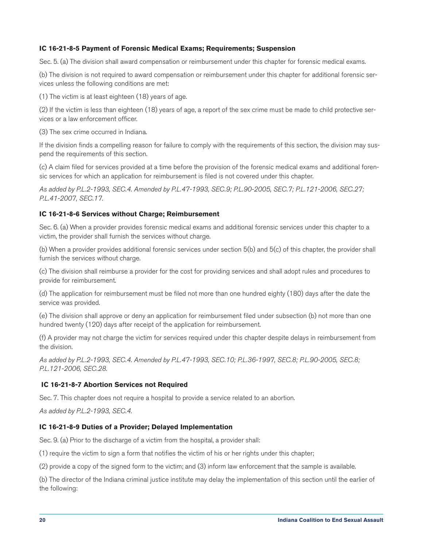#### **IC 16-21-8-5 Payment of Forensic Medical Exams; Requirements; Suspension**

Sec. 5. (a) The division shall award compensation or reimbursement under this chapter for forensic medical exams.

(b) The division is not required to award compensation or reimbursement under this chapter for additional forensic services unless the following conditions are met:

(1) The victim is at least eighteen (18) years of age.

(2) If the victim is less than eighteen (18) years of age, a report of the sex crime must be made to child protective services or a law enforcement officer.

(3) The sex crime occurred in Indiana.

If the division finds a compelling reason for failure to comply with the requirements of this section, the division may suspend the requirements of this section.

(c) A claim filed for services provided at a time before the provision of the forensic medical exams and additional forensic services for which an application for reimbursement is filed is not covered under this chapter.

*As added by P.L.2-1993, SEC.4. Amended by P.L.47-1993, SEC.9; P.L.90-2005, SEC.7; P.L.121-2006, SEC.27; P.L.41-2007, SEC.17.*

#### **IC 16-21-8-6 Services without Charge; Reimbursement**

Sec. 6. (a) When a provider provides forensic medical exams and additional forensic services under this chapter to a victim, the provider shall furnish the services without charge.

(b) When a provider provides additional forensic services under section 5(b) and 5(c) of this chapter, the provider shall furnish the services without charge.

(c) The division shall reimburse a provider for the cost for providing services and shall adopt rules and procedures to provide for reimbursement.

(d) The application for reimbursement must be filed not more than one hundred eighty (180) days after the date the service was provided.

(e) The division shall approve or deny an application for reimbursement filed under subsection (b) not more than one hundred twenty (120) days after receipt of the application for reimbursement.

(f) A provider may not charge the victim for services required under this chapter despite delays in reimbursement from the division.

*As added by P.L.2-1993, SEC.4. Amended by P.L.47-1993, SEC.10; P.L.36-1997, SEC.8; P.L.90-2005, SEC.8; P.L.121-2006, SEC.28.*

#### **IC 16-21-8-7 Abortion Services not Required**

Sec. 7. This chapter does not require a hospital to provide a service related to an abortion.

*As added by P.L.2-1993, SEC.4.*

#### **IC 16-21-8-9 Duties of a Provider; Delayed Implementation**

Sec. 9. (a) Prior to the discharge of a victim from the hospital, a provider shall:

(1) require the victim to sign a form that notifies the victim of his or her rights under this chapter;

(2) provide a copy of the signed form to the victim; and (3) inform law enforcement that the sample is available.

(b) The director of the Indiana criminal justice institute may delay the implementation of this section until the earlier of the following: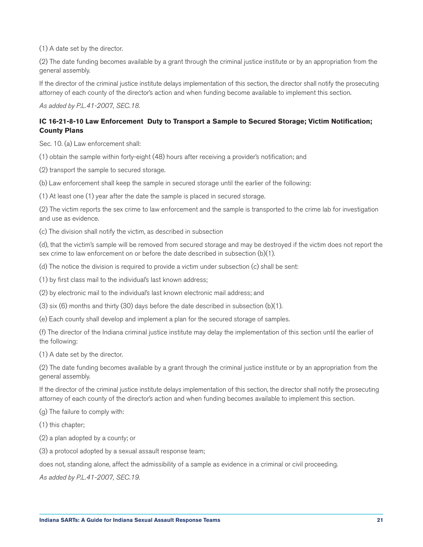(1) A date set by the director.

(2) The date funding becomes available by a grant through the criminal justice institute or by an appropriation from the general assembly.

If the director of the criminal justice institute delays implementation of this section, the director shall notify the prosecuting attorney of each county of the director's action and when funding become available to implement this section.

*As added by P.L.41-2007, SEC.18.*

# **IC 16-21-8-10 Law Enforcement Duty to Transport a Sample to Secured Storage; Victim Notification; County Plans**

Sec. 10. (a) Law enforcement shall:

(1) obtain the sample within forty-eight (48) hours after receiving a provider's notification; and

(2) transport the sample to secured storage.

(b) Law enforcement shall keep the sample in secured storage until the earlier of the following:

(1) At least one (1) year after the date the sample is placed in secured storage.

(2) The victim reports the sex crime to law enforcement and the sample is transported to the crime lab for investigation and use as evidence.

(c) The division shall notify the victim, as described in subsection

(d), that the victim's sample will be removed from secured storage and may be destroyed if the victim does not report the sex crime to law enforcement on or before the date described in subsection (b)(1).

(d) The notice the division is required to provide a victim under subsection (c) shall be sent:

(1) by first class mail to the individual's last known address;

(2) by electronic mail to the individual's last known electronic mail address; and

(3) six (6) months and thirty (30) days before the date described in subsection (b)(1).

(e) Each county shall develop and implement a plan for the secured storage of samples.

(f) The director of the Indiana criminal justice institute may delay the implementation of this section until the earlier of the following:

(1) A date set by the director.

(2) The date funding becomes available by a grant through the criminal justice institute or by an appropriation from the general assembly.

If the director of the criminal justice institute delays implementation of this section, the director shall notify the prosecuting attorney of each county of the director's action and when funding becomes available to implement this section.

(g) The failure to comply with:

(1) this chapter;

(2) a plan adopted by a county; or

(3) a protocol adopted by a sexual assault response team;

does not, standing alone, affect the admissibility of a sample as evidence in a criminal or civil proceeding.

*As added by P.L.41-2007, SEC.19.*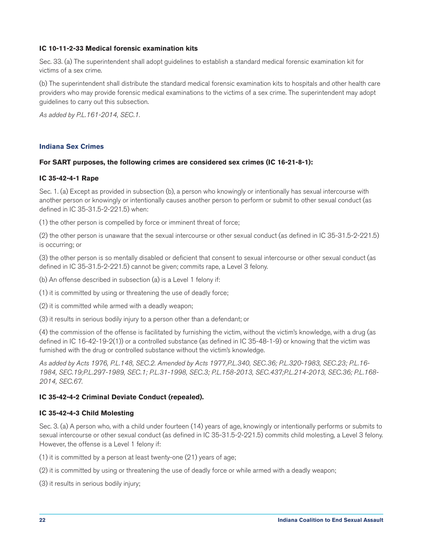# <span id="page-22-0"></span>**IC 10-11-2-33 Medical forensic examination kits**

Sec. 33. (a) The superintendent shall adopt guidelines to establish a standard medical forensic examination kit for victims of a sex crime.

(b) The superintendent shall distribute the standard medical forensic examination kits to hospitals and other health care providers who may provide forensic medical examinations to the victims of a sex crime. The superintendent may adopt guidelines to carry out this subsection.

*As added by P.L.161-2014, SEC.1.*

# **Indiana Sex Crimes**

#### **For SART purposes, the following crimes are considered sex crimes (IC 16-21-8-1):**

#### **IC 35-42-4-1 Rape**

Sec. 1. (a) Except as provided in subsection (b), a person who knowingly or intentionally has sexual intercourse with another person or knowingly or intentionally causes another person to perform or submit to other sexual conduct (as defined in IC 35-31.5-2-221.5) when:

(1) the other person is compelled by force or imminent threat of force;

(2) the other person is unaware that the sexual intercourse or other sexual conduct (as defined in IC 35-31.5-2-221.5) is occurring; or

(3) the other person is so mentally disabled or deficient that consent to sexual intercourse or other sexual conduct (as defined in IC 35-31.5-2-221.5) cannot be given; commits rape, a Level 3 felony.

(b) An offense described in subsection (a) is a Level 1 felony if:

(1) it is committed by using or threatening the use of deadly force;

(2) it is committed while armed with a deadly weapon;

(3) it results in serious bodily injury to a person other than a defendant; or

(4) the commission of the offense is facilitated by furnishing the victim, without the victim's knowledge, with a drug (as defined in IC 16-42-19-2(1)) or a controlled substance (as defined in IC 35-48-1-9) or knowing that the victim was furnished with the drug or controlled substance without the victim's knowledge.

*As added by Acts 1976, P.L.148, SEC.2. Amended by Acts 1977,P.L.340, SEC.36; P.L.320-1983, SEC.23; P.L.16- 1984, SEC.19;P.L.297-1989, SEC.1; P.L.31-1998, SEC.3; P.L.158-2013, SEC.437;P.L.214-2013, SEC.36; P.L.168- 2014, SEC.67.*

# **IC 35-42-4-2 Criminal Deviate Conduct (repealed).**

#### **IC 35-42-4-3 Child Molesting**

Sec. 3. (a) A person who, with a child under fourteen (14) years of age, knowingly or intentionally performs or submits to sexual intercourse or other sexual conduct (as defined in IC 35-31.5-2-221.5) commits child molesting, a Level 3 felony. However, the offense is a Level 1 felony if:

(1) it is committed by a person at least twenty-one (21) years of age;

(2) it is committed by using or threatening the use of deadly force or while armed with a deadly weapon;

(3) it results in serious bodily injury;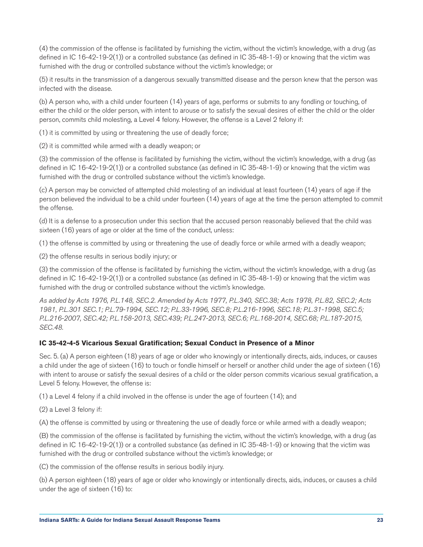(4) the commission of the offense is facilitated by furnishing the victim, without the victim's knowledge, with a drug (as defined in IC 16-42-19-2(1)) or a controlled substance (as defined in IC 35-48-1-9) or knowing that the victim was furnished with the drug or controlled substance without the victim's knowledge; or

(5) it results in the transmission of a dangerous sexually transmitted disease and the person knew that the person was infected with the disease.

(b) A person who, with a child under fourteen (14) years of age, performs or submits to any fondling or touching, of either the child or the older person, with intent to arouse or to satisfy the sexual desires of either the child or the older person, commits child molesting, a Level 4 felony. However, the offense is a Level 2 felony if:

(1) it is committed by using or threatening the use of deadly force;

(2) it is committed while armed with a deadly weapon; or

(3) the commission of the offense is facilitated by furnishing the victim, without the victim's knowledge, with a drug (as defined in IC 16-42-19-2(1)) or a controlled substance (as defined in IC 35-48-1-9) or knowing that the victim was furnished with the drug or controlled substance without the victim's knowledge.

(c) A person may be convicted of attempted child molesting of an individual at least fourteen (14) years of age if the person believed the individual to be a child under fourteen (14) years of age at the time the person attempted to commit the offense.

(d) It is a defense to a prosecution under this section that the accused person reasonably believed that the child was sixteen (16) years of age or older at the time of the conduct, unless:

(1) the offense is committed by using or threatening the use of deadly force or while armed with a deadly weapon;

(2) the offense results in serious bodily injury; or

(3) the commission of the offense is facilitated by furnishing the victim, without the victim's knowledge, with a drug (as defined in IC 16-42-19-2(1)) or a controlled substance (as defined in IC 35-48-1-9) or knowing that the victim was furnished with the drug or controlled substance without the victim's knowledge.

*As added by Acts 1976, P.L.148, SEC.2. Amended by Acts 1977, P.L.340, SEC.38; Acts 1978, P.L.82, SEC.2; Acts 1981, P.L.301 SEC.1; P.L.79-1994, SEC.12; P.L.33-1996, SEC.8; P.L.216-1996, SEC.18; P.L.31-1998, SEC.5; P.L.216-2007, SEC.42; P.L.158-2013, SEC.439; P.L.247-2013, SEC.6; P.L.168-2014, SEC.68; P.L.187-2015, SEC.48.*

# **IC 35-42-4-5 Vicarious Sexual Gratification; Sexual Conduct in Presence of a Minor**

Sec. 5. (a) A person eighteen (18) years of age or older who knowingly or intentionally directs, aids, induces, or causes a child under the age of sixteen (16) to touch or fondle himself or herself or another child under the age of sixteen (16) with intent to arouse or satisfy the sexual desires of a child or the older person commits vicarious sexual gratification, a Level 5 felony. However, the offense is:

(1) a Level 4 felony if a child involved in the offense is under the age of fourteen (14); and

(2) a Level 3 felony if:

(A) the offense is committed by using or threatening the use of deadly force or while armed with a deadly weapon;

(B) the commission of the offense is facilitated by furnishing the victim, without the victim's knowledge, with a drug (as defined in IC 16-42-19-2(1)) or a controlled substance (as defined in IC 35-48-1-9) or knowing that the victim was furnished with the drug or controlled substance without the victim's knowledge; or

(C) the commission of the offense results in serious bodily injury.

(b) A person eighteen (18) years of age or older who knowingly or intentionally directs, aids, induces, or causes a child under the age of sixteen (16) to: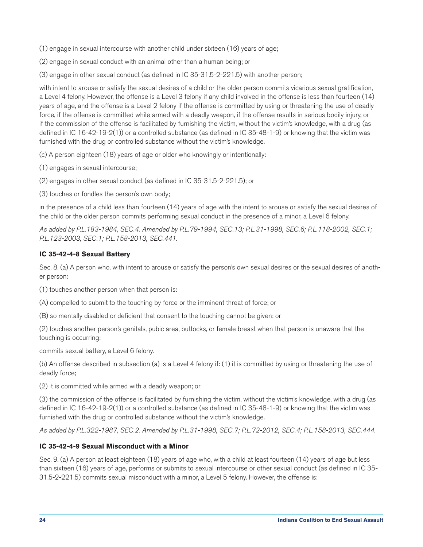(1) engage in sexual intercourse with another child under sixteen (16) years of age;

(2) engage in sexual conduct with an animal other than a human being; or

(3) engage in other sexual conduct (as defined in IC 35-31.5-2-221.5) with another person;

with intent to arouse or satisfy the sexual desires of a child or the older person commits vicarious sexual gratification, a Level 4 felony. However, the offense is a Level 3 felony if any child involved in the offense is less than fourteen (14) years of age, and the offense is a Level 2 felony if the offense is committed by using or threatening the use of deadly force, if the offense is committed while armed with a deadly weapon, if the offense results in serious bodily injury, or if the commission of the offense is facilitated by furnishing the victim, without the victim's knowledge, with a drug (as defined in IC 16-42-19-2(1)) or a controlled substance (as defined in IC 35-48-1-9) or knowing that the victim was furnished with the drug or controlled substance without the victim's knowledge.

(c) A person eighteen (18) years of age or older who knowingly or intentionally:

(1) engages in sexual intercourse;

(2) engages in other sexual conduct (as defined in IC 35-31.5-2-221.5); or

(3) touches or fondles the person's own body;

in the presence of a child less than fourteen (14) years of age with the intent to arouse or satisfy the sexual desires of the child or the older person commits performing sexual conduct in the presence of a minor, a Level 6 felony.

*As added by P.L.183-1984, SEC.4. Amended by P.L.79-1994, SEC.13; P.L.31-1998, SEC.6; P.L.118-2002, SEC.1; P.L.123-2003, SEC.1; P.L.158-2013, SEC.441.*

# **IC 35-42-4-8 Sexual Battery**

Sec. 8. (a) A person who, with intent to arouse or satisfy the person's own sexual desires or the sexual desires of another person:

(1) touches another person when that person is:

(A) compelled to submit to the touching by force or the imminent threat of force; or

(B) so mentally disabled or deficient that consent to the touching cannot be given; or

(2) touches another person's genitals, pubic area, buttocks, or female breast when that person is unaware that the touching is occurring;

commits sexual battery, a Level 6 felony.

(b) An offense described in subsection (a) is a Level 4 felony if: (1) it is committed by using or threatening the use of deadly force;

(2) it is committed while armed with a deadly weapon; or

(3) the commission of the offense is facilitated by furnishing the victim, without the victim's knowledge, with a drug (as defined in IC 16-42-19-2(1)) or a controlled substance (as defined in IC 35-48-1-9) or knowing that the victim was furnished with the drug or controlled substance without the victim's knowledge.

*As added by P.L.322-1987, SEC.2. Amended by P.L.31-1998, SEC.7; P.L.72-2012, SEC.4; P.L.158-2013, SEC.444.*

# **IC 35-42-4-9 Sexual Misconduct with a Minor**

Sec. 9. (a) A person at least eighteen (18) years of age who, with a child at least fourteen (14) years of age but less than sixteen (16) years of age, performs or submits to sexual intercourse or other sexual conduct (as defined in IC 35- 31.5-2-221.5) commits sexual misconduct with a minor, a Level 5 felony. However, the offense is: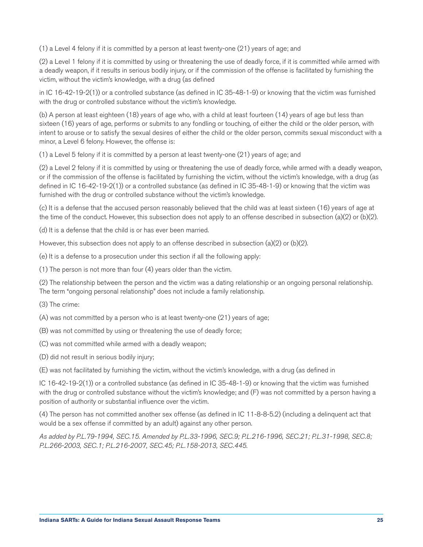(1) a Level 4 felony if it is committed by a person at least twenty-one (21) years of age; and

(2) a Level 1 felony if it is committed by using or threatening the use of deadly force, if it is committed while armed with a deadly weapon, if it results in serious bodily injury, or if the commission of the offense is facilitated by furnishing the victim, without the victim's knowledge, with a drug (as defined

in IC 16-42-19-2(1)) or a controlled substance (as defined in IC 35-48-1-9) or knowing that the victim was furnished with the drug or controlled substance without the victim's knowledge.

(b) A person at least eighteen (18) years of age who, with a child at least fourteen (14) years of age but less than sixteen (16) years of age, performs or submits to any fondling or touching, of either the child or the older person, with intent to arouse or to satisfy the sexual desires of either the child or the older person, commits sexual misconduct with a minor, a Level 6 felony. However, the offense is:

(1) a Level 5 felony if it is committed by a person at least twenty-one (21) years of age; and

(2) a Level 2 felony if it is committed by using or threatening the use of deadly force, while armed with a deadly weapon, or if the commission of the offense is facilitated by furnishing the victim, without the victim's knowledge, with a drug (as defined in IC 16-42-19-2(1)) or a controlled substance (as defined in IC 35-48-1-9) or knowing that the victim was furnished with the drug or controlled substance without the victim's knowledge.

(c) It is a defense that the accused person reasonably believed that the child was at least sixteen (16) years of age at the time of the conduct. However, this subsection does not apply to an offense described in subsection (a)(2) or (b)(2).

(d) It is a defense that the child is or has ever been married.

However, this subsection does not apply to an offense described in subsection  $(a)(2)$  or  $(b)(2)$ .

(e) It is a defense to a prosecution under this section if all the following apply:

(1) The person is not more than four (4) years older than the victim.

(2) The relationship between the person and the victim was a dating relationship or an ongoing personal relationship. The term "ongoing personal relationship" does not include a family relationship.

(3) The crime:

(A) was not committed by a person who is at least twenty-one (21) years of age;

(B) was not committed by using or threatening the use of deadly force;

(C) was not committed while armed with a deadly weapon;

(D) did not result in serious bodily injury;

(E) was not facilitated by furnishing the victim, without the victim's knowledge, with a drug (as defined in

IC 16-42-19-2(1)) or a controlled substance (as defined in IC 35-48-1-9) or knowing that the victim was furnished with the drug or controlled substance without the victim's knowledge; and (F) was not committed by a person having a position of authority or substantial influence over the victim.

(4) The person has not committed another sex offense (as defined in IC 11-8-8-5.2) (including a delinquent act that would be a sex offense if committed by an adult) against any other person.

*As added by P.L.79-1994, SEC.15. Amended by P.L.33-1996, SEC.9; P.L.216-1996, SEC.21; P.L.31-1998, SEC.8; P.L.266-2003, SEC.1; P.L.216-2007, SEC.45; P.L.158-2013, SEC.445.*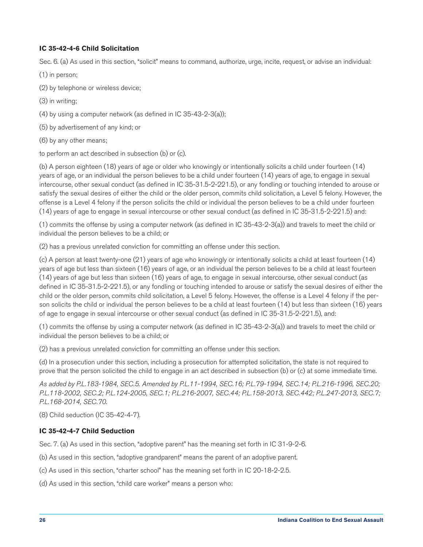# **IC 35-42-4-6 Child Solicitation**

Sec. 6. (a) As used in this section, "solicit" means to command, authorize, urge, incite, request, or advise an individual:

- (1) in person;
- (2) by telephone or wireless device;
- (3) in writing;
- (4) by using a computer network (as defined in IC 35-43-2-3(a));
- (5) by advertisement of any kind; or
- (6) by any other means;

to perform an act described in subsection (b) or (c).

(b) A person eighteen (18) years of age or older who knowingly or intentionally solicits a child under fourteen (14) years of age, or an individual the person believes to be a child under fourteen (14) years of age, to engage in sexual intercourse, other sexual conduct (as defined in IC 35-31.5-2-221.5), or any fondling or touching intended to arouse or satisfy the sexual desires of either the child or the older person, commits child solicitation, a Level 5 felony. However, the offense is a Level 4 felony if the person solicits the child or individual the person believes to be a child under fourteen (14) years of age to engage in sexual intercourse or other sexual conduct (as defined in IC 35-31.5-2-221.5) and:

(1) commits the offense by using a computer network (as defined in IC 35-43-2-3(a)) and travels to meet the child or individual the person believes to be a child; or

(2) has a previous unrelated conviction for committing an offense under this section.

(c) A person at least twenty-one (21) years of age who knowingly or intentionally solicits a child at least fourteen (14) years of age but less than sixteen (16) years of age, or an individual the person believes to be a child at least fourteen (14) years of age but less than sixteen (16) years of age, to engage in sexual intercourse, other sexual conduct (as defined in IC 35-31.5-2-221.5), or any fondling or touching intended to arouse or satisfy the sexual desires of either the child or the older person, commits child solicitation, a Level 5 felony. However, the offense is a Level 4 felony if the person solicits the child or individual the person believes to be a child at least fourteen (14) but less than sixteen (16) years of age to engage in sexual intercourse or other sexual conduct (as defined in IC 35-31.5-2-221.5), and:

(1) commits the offense by using a computer network (as defined in IC 35-43-2-3(a)) and travels to meet the child or individual the person believes to be a child; or

(2) has a previous unrelated conviction for committing an offense under this section.

(d) In a prosecution under this section, including a prosecution for attempted solicitation, the state is not required to prove that the person solicited the child to engage in an act described in subsection (b) or (c) at some immediate time.

*As added by P.L.183-1984, SEC.5. Amended by P.L.11-1994, SEC.16; P.L.79-1994, SEC.14; P.L.216-1996, SEC.20; P.L.118-2002, SEC.2; P.L.124-2005, SEC.1; P.L.216-2007, SEC.44; P.L.158-2013, SEC.442; P.L.247-2013, SEC.7; P.L.168-2014, SEC.70.*

(8) Child seduction (IC 35-42-4-7).

# **IC 35-42-4-7 Child Seduction**

Sec. 7. (a) As used in this section, "adoptive parent" has the meaning set forth in IC 31-9-2-6.

(b) As used in this section, "adoptive grandparent" means the parent of an adoptive parent.

(c) As used in this section, "charter school" has the meaning set forth in IC 20-18-2-2.5.

(d) As used in this section, "child care worker" means a person who: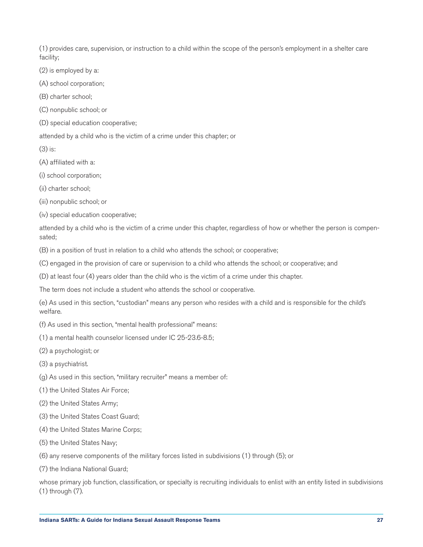(1) provides care, supervision, or instruction to a child within the scope of the person's employment in a shelter care facility;

(2) is employed by a:

(A) school corporation;

(B) charter school;

(C) nonpublic school; or

(D) special education cooperative;

attended by a child who is the victim of a crime under this chapter; or

(3) is:

(A) affiliated with a:

(i) school corporation;

(ii) charter school;

(iii) nonpublic school; or

(iv) special education cooperative;

attended by a child who is the victim of a crime under this chapter, regardless of how or whether the person is compensated;

(B) in a position of trust in relation to a child who attends the school; or cooperative;

(C) engaged in the provision of care or supervision to a child who attends the school; or cooperative; and

(D) at least four (4) years older than the child who is the victim of a crime under this chapter.

The term does not include a student who attends the school or cooperative.

(e) As used in this section, "custodian" means any person who resides with a child and is responsible for the child's welfare.

(f) As used in this section, "mental health professional" means:

(1) a mental health counselor licensed under IC 25-23.6-8.5;

(2) a psychologist; or

(3) a psychiatrist.

(g) As used in this section, "military recruiter" means a member of:

(1) the United States Air Force;

(2) the United States Army;

(3) the United States Coast Guard;

(4) the United States Marine Corps;

(5) the United States Navy;

(6) any reserve components of the military forces listed in subdivisions (1) through (5); or

(7) the Indiana National Guard;

whose primary job function, classification, or specialty is recruiting individuals to enlist with an entity listed in subdivisions (1) through (7).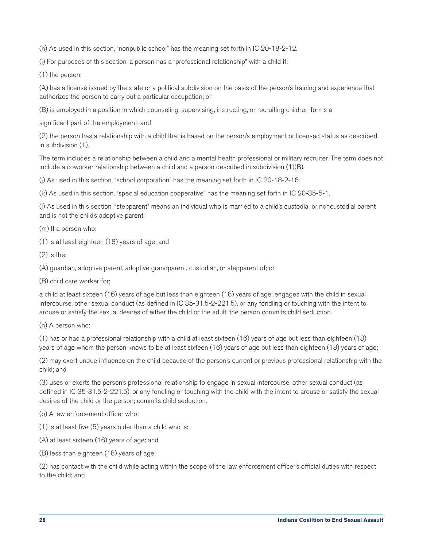(h) As used in this section, "nonpublic school" has the meaning set forth in IC 20-18-2-12.

(i) For purposes of this section, a person has a "professional relationship" with a child if:

(1) the person:

(A) has a license issued by the state or a political subdivision on the basis of the person's training and experience that authorizes the person to carry out a particular occupation; or

(B) is employed in a position in which counseling, supervising, instructing, or recruiting children forms a

significant part of the employment; and

(2) the person has a relationship with a child that is based on the person's employment or licensed status as described in subdivision (1).

The term includes a relationship between a child and a mental health professional or military recruiter. The term does not include a coworker relationship between a child and a person described in subdivision (1)(B).

(j) As used in this section, "school corporation" has the meaning set forth in IC 20-18-2-16.

(k) As used in this section, "special education cooperative" has the meaning set forth in IC 20-35-5-1.

(l) As used in this section, "stepparent" means an individual who is married to a child's custodial or noncustodial parent and is not the child's adoptive parent.

(m) If a person who:

(1) is at least eighteen (18) years of age; and

 $(2)$  is the:

(A) guardian, adoptive parent, adoptive grandparent, custodian, or stepparent of; or

(B) child care worker for;

a child at least sixteen (16) years of age but less than eighteen (18) years of age; engages with the child in sexual intercourse, other sexual conduct (as defined in IC 35-31.5-2-221.5), or any fondling or touching with the intent to arouse or satisfy the sexual desires of either the child or the adult, the person commits child seduction.

(n) A person who:

(1) has or had a professional relationship with a child at least sixteen (16) years of age but less than eighteen (18) years of age whom the person knows to be at least sixteen (16) years of age but less than eighteen (18) years of age;

(2) may exert undue influence on the child because of the person's current or previous professional relationship with the child; and

(3) uses or exerts the person's professional relationship to engage in sexual intercourse, other sexual conduct (as defined in IC 35-31.5-2-221.5), or any fondling or touching with the child with the intent to arouse or satisfy the sexual desires of the child or the person; commits child seduction.

(o) A law enforcement officer who:

(1) is at least five (5) years older than a child who is:

(A) at least sixteen (16) years of age; and

(B) less than eighteen (18) years of age;

(2) has contact with the child while acting within the scope of the law enforcement officer's official duties with respect to the child; and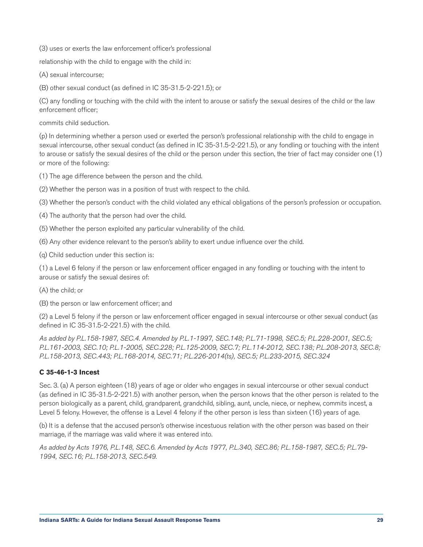(3) uses or exerts the law enforcement officer's professional

relationship with the child to engage with the child in:

(A) sexual intercourse;

(B) other sexual conduct (as defined in IC 35-31.5-2-221.5); or

(C) any fondling or touching with the child with the intent to arouse or satisfy the sexual desires of the child or the law enforcement officer;

commits child seduction.

(p) In determining whether a person used or exerted the person's professional relationship with the child to engage in sexual intercourse, other sexual conduct (as defined in IC 35-31.5-2-221.5), or any fondling or touching with the intent to arouse or satisfy the sexual desires of the child or the person under this section, the trier of fact may consider one (1) or more of the following:

(1) The age difference between the person and the child.

(2) Whether the person was in a position of trust with respect to the child.

(3) Whether the person's conduct with the child violated any ethical obligations of the person's profession or occupation.

(4) The authority that the person had over the child.

(5) Whether the person exploited any particular vulnerability of the child.

(6) Any other evidence relevant to the person's ability to exert undue influence over the child.

(q) Child seduction under this section is:

(1) a Level 6 felony if the person or law enforcement officer engaged in any fondling or touching with the intent to arouse or satisfy the sexual desires of:

(A) the child; or

(B) the person or law enforcement officer; and

(2) a Level 5 felony if the person or law enforcement officer engaged in sexual intercourse or other sexual conduct (as defined in IC 35-31.5-2-221.5) with the child.

*As added by P.L.158-1987, SEC.4. Amended by P.L.1-1997, SEC.148; P.L.71-1998, SEC.5; P.L.228-2001, SEC.5; P.L.161-2003, SEC.10; P.L.1-2005, SEC.228; P.L.125-2009, SEC.7; P.L.114-2012, SEC.138; P.L.208-2013, SEC.8; P.L.158-2013, SEC.443; P.L.168-2014, SEC.71; P.L.226-2014(ts), SEC.5; P.L.233-2015, SEC.324*

# **C 35-46-1-3 Incest**

Sec. 3. (a) A person eighteen (18) years of age or older who engages in sexual intercourse or other sexual conduct (as defined in IC 35-31.5-2-221.5) with another person, when the person knows that the other person is related to the person biologically as a parent, child, grandparent, grandchild, sibling, aunt, uncle, niece, or nephew, commits incest, a Level 5 felony. However, the offense is a Level 4 felony if the other person is less than sixteen (16) years of age.

(b) It is a defense that the accused person's otherwise incestuous relation with the other person was based on their marriage, if the marriage was valid where it was entered into.

*As added by Acts 1976, P.L.148, SEC.6. Amended by Acts 1977, P.L.340, SEC.86; P.L.158-1987, SEC.5; P.L.79- 1994, SEC.16; P.L.158-2013, SEC.549.*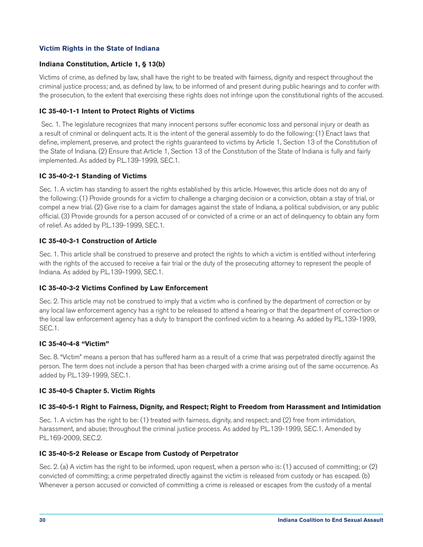# <span id="page-30-0"></span>**Victim Rights in the State of Indiana**

# **Indiana Constitution, Article 1, § 13(b)**

Victims of crime, as defined by law, shall have the right to be treated with fairness, dignity and respect throughout the criminal justice process; and, as defined by law, to be informed of and present during public hearings and to confer with the prosecution, to the extent that exercising these rights does not infringe upon the constitutional rights of the accused.

#### **IC 35-40-1-1 Intent to Protect Rights of Victims**

 Sec. 1. The legislature recognizes that many innocent persons suffer economic loss and personal injury or death as a result of criminal or delinquent acts. It is the intent of the general assembly to do the following: (1) Enact laws that define, implement, preserve, and protect the rights guaranteed to victims by Article 1, Section 13 of the Constitution of the State of Indiana. (2) Ensure that Article 1, Section 13 of the Constitution of the State of Indiana is fully and fairly implemented. As added by P.L.139-1999, SEC.1.

#### **IC 35-40-2-1 Standing of Victims**

Sec. 1. A victim has standing to assert the rights established by this article. However, this article does not do any of the following: (1) Provide grounds for a victim to challenge a charging decision or a conviction, obtain a stay of trial, or compel a new trial. (2) Give rise to a claim for damages against the state of Indiana, a political subdivision, or any public official. (3) Provide grounds for a person accused of or convicted of a crime or an act of delinquency to obtain any form of relief. As added by P.L.139-1999, SEC.1.

# **IC 35-40-3-1 Construction of Article**

Sec. 1. This article shall be construed to preserve and protect the rights to which a victim is entitled without interfering with the rights of the accused to receive a fair trial or the duty of the prosecuting attorney to represent the people of Indiana. As added by P.L.139-1999, SEC.1.

#### **IC 35-40-3-2 Victims Confined by Law Enforcement**

Sec. 2. This article may not be construed to imply that a victim who is confined by the department of correction or by any local law enforcement agency has a right to be released to attend a hearing or that the department of correction or the local law enforcement agency has a duty to transport the confined victim to a hearing. As added by P.L.139-1999, SEC.1.

#### **IC 35-40-4-8 "Victim"**

Sec. 8. "Victim" means a person that has suffered harm as a result of a crime that was perpetrated directly against the person. The term does not include a person that has been charged with a crime arising out of the same occurrence. As added by P.L.139-1999, SEC.1.

#### **IC 35-40-5 Chapter 5. Victim Rights**

# **IC 35-40-5-1 Right to Fairness, Dignity, and Respect; Right to Freedom from Harassment and Intimidation**

Sec. 1. A victim has the right to be: (1) treated with fairness, dignity, and respect; and (2) free from intimidation, harassment, and abuse; throughout the criminal justice process. As added by P.L.139-1999, SEC.1. Amended by P.L.169-2009, SEC.2.

#### **IC 35-40-5-2 Release or Escape from Custody of Perpetrator**

Sec. 2. (a) A victim has the right to be informed, upon request, when a person who is: (1) accused of committing; or (2) convicted of committing; a crime perpetrated directly against the victim is released from custody or has escaped. (b) Whenever a person accused or convicted of committing a crime is released or escapes from the custody of a mental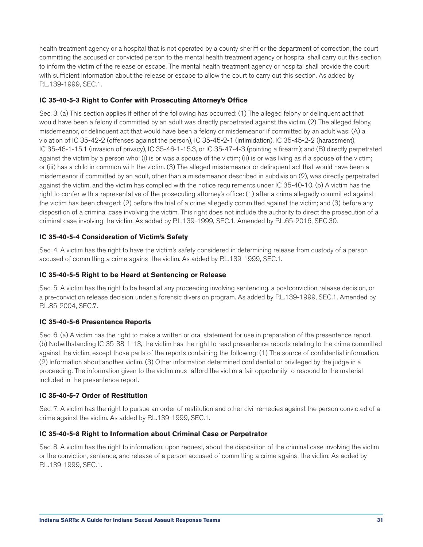health treatment agency or a hospital that is not operated by a county sheriff or the department of correction, the court committing the accused or convicted person to the mental health treatment agency or hospital shall carry out this section to inform the victim of the release or escape. The mental health treatment agency or hospital shall provide the court with sufficient information about the release or escape to allow the court to carry out this section. As added by P.L.139-1999, SEC.1.

# **IC 35-40-5-3 Right to Confer with Prosecuting Attorney's Office**

Sec. 3. (a) This section applies if either of the following has occurred: (1) The alleged felony or delinquent act that would have been a felony if committed by an adult was directly perpetrated against the victim. (2) The alleged felony, misdemeanor, or delinquent act that would have been a felony or misdemeanor if committed by an adult was: (A) a violation of IC 35-42-2 (offenses against the person), IC 35-45-2-1 (intimidation), IC 35-45-2-2 (harassment), IC 35-46-1-15.1 (invasion of privacy), IC 35-46-1-15.3, or IC 35-47-4-3 (pointing a firearm); and (B) directly perpetrated against the victim by a person who: (i) is or was a spouse of the victim; (ii) is or was living as if a spouse of the victim; or (iii) has a child in common with the victim. (3) The alleged misdemeanor or delinquent act that would have been a misdemeanor if committed by an adult, other than a misdemeanor described in subdivision (2), was directly perpetrated against the victim, and the victim has complied with the notice requirements under IC 35-40-10. (b) A victim has the right to confer with a representative of the prosecuting attorney's office: (1) after a crime allegedly committed against the victim has been charged; (2) before the trial of a crime allegedly committed against the victim; and (3) before any disposition of a criminal case involving the victim. This right does not include the authority to direct the prosecution of a criminal case involving the victim. As added by P.L.139-1999, SEC.1. Amended by P.L.65-2016, SEC.30.

# **IC 35-40-5-4 Consideration of Victim's Safety**

Sec. 4. A victim has the right to have the victim's safety considered in determining release from custody of a person accused of committing a crime against the victim. As added by P.L.139-1999, SEC.1.

# **IC 35-40-5-5 Right to be Heard at Sentencing or Release**

Sec. 5. A victim has the right to be heard at any proceeding involving sentencing, a postconviction release decision, or a pre-conviction release decision under a forensic diversion program. As added by P.L.139-1999, SEC.1. Amended by P.L.85-2004, SEC.7.

# **IC 35-40-5-6 Presentence Reports**

Sec. 6. (a) A victim has the right to make a written or oral statement for use in preparation of the presentence report. (b) Notwithstanding IC 35-38-1-13, the victim has the right to read presentence reports relating to the crime committed against the victim, except those parts of the reports containing the following: (1) The source of confidential information. (2) Information about another victim. (3) Other information determined confidential or privileged by the judge in a proceeding. The information given to the victim must afford the victim a fair opportunity to respond to the material included in the presentence report.

# **IC 35-40-5-7 Order of Restitution**

Sec. 7. A victim has the right to pursue an order of restitution and other civil remedies against the person convicted of a crime against the victim. As added by P.L.139-1999, SEC.1.

# **IC 35-40-5-8 Right to Information about Criminal Case or Perpetrator**

Sec. 8. A victim has the right to information, upon request, about the disposition of the criminal case involving the victim or the conviction, sentence, and release of a person accused of committing a crime against the victim. As added by P.L.139-1999, SEC.1.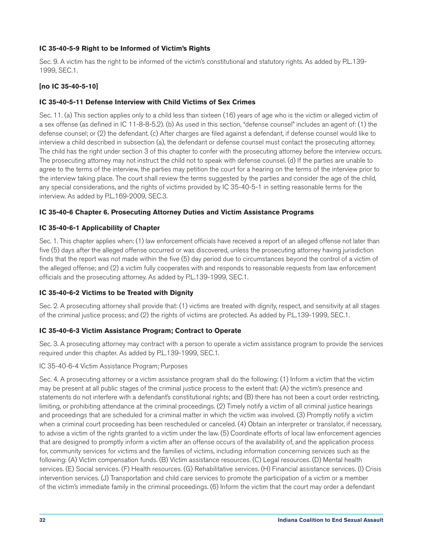# **IC 35-40-5-9 Right to be Informed of Victim's Rights**

Sec. 9. A victim has the right to be informed of the victim's constitutional and statutory rights. As added by P.L.139- 1999, SEC.1.

# **[no IC 35-40-5-10]**

# **IC 35-40-5-11 Defense Interview with Child Victims of Sex Crimes**

Sec. 11. (a) This section applies only to a child less than sixteen (16) years of age who is the victim or alleged victim of a sex offense (as defined in IC 11-8-8-5.2). (b) As used in this section, "defense counsel" includes an agent of: (1) the defense counsel; or (2) the defendant. (c) After charges are filed against a defendant, if defense counsel would like to interview a child described in subsection (a), the defendant or defense counsel must contact the prosecuting attorney. The child has the right under section 3 of this chapter to confer with the prosecuting attorney before the interview occurs. The prosecuting attorney may not instruct the child not to speak with defense counsel. (d) If the parties are unable to agree to the terms of the interview, the parties may petition the court for a hearing on the terms of the interview prior to the interview taking place. The court shall review the terms suggested by the parties and consider the age of the child, any special considerations, and the rights of victims provided by IC 35-40-5-1 in setting reasonable terms for the interview. As added by P.L.169-2009, SEC.3.

# **IC 35-40-6 Chapter 6. Prosecuting Attorney Duties and Victim Assistance Programs**

# **IC 35-40-6-1 Applicability of Chapter**

Sec. 1. This chapter applies when: (1) law enforcement officials have received a report of an alleged offense not later than five (5) days after the alleged offense occurred or was discovered, unless the prosecuting attorney having jurisdiction finds that the report was not made within the five (5) day period due to circumstances beyond the control of a victim of the alleged offense; and (2) a victim fully cooperates with and responds to reasonable requests from law enforcement officials and the prosecuting attorney. As added by P.L.139-1999, SEC.1.

# **IC 35-40-6-2 Victims to be Treated with Dignity**

Sec. 2. A prosecuting attorney shall provide that: (1) victims are treated with dignity, respect, and sensitivity at all stages of the criminal justice process; and (2) the rights of victims are protected. As added by P.L.139-1999, SEC.1.

# **IC 35-40-6-3 Victim Assistance Program; Contract to Operate**

Sec. 3. A prosecuting attorney may contract with a person to operate a victim assistance program to provide the services required under this chapter. As added by P.L.139-1999, SEC.1.

IC 35-40-6-4 Victim Assistance Program; Purposes

Sec. 4. A prosecuting attorney or a victim assistance program shall do the following: (1) Inform a victim that the victim may be present at all public stages of the criminal justice process to the extent that: (A) the victim's presence and statements do not interfere with a defendant's constitutional rights; and (B) there has not been a court order restricting, limiting, or prohibiting attendance at the criminal proceedings. (2) Timely notify a victim of all criminal justice hearings and proceedings that are scheduled for a criminal matter in which the victim was involved. (3) Promptly notify a victim when a criminal court proceeding has been rescheduled or canceled. (4) Obtain an interpreter or translator, if necessary, to advise a victim of the rights granted to a victim under the law. (5) Coordinate efforts of local law enforcement agencies that are designed to promptly inform a victim after an offense occurs of the availability of, and the application process for, community services for victims and the families of victims, including information concerning services such as the following: (A) Victim compensation funds. (B) Victim assistance resources. (C) Legal resources. (D) Mental health services. (E) Social services. (F) Health resources. (G) Rehabilitative services. (H) Financial assistance services. (I) Crisis intervention services. (J) Transportation and child care services to promote the participation of a victim or a member of the victim's immediate family in the criminal proceedings. (6) Inform the victim that the court may order a defendant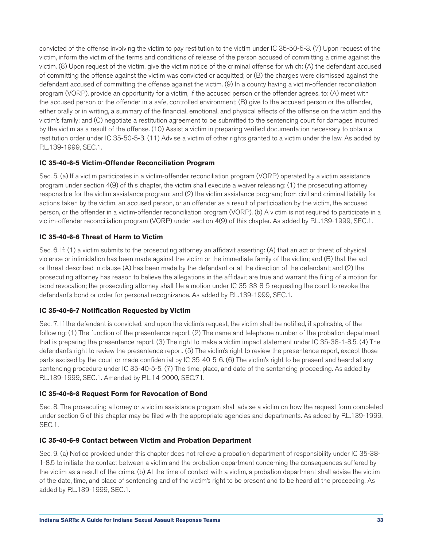convicted of the offense involving the victim to pay restitution to the victim under IC 35-50-5-3. (7) Upon request of the victim, inform the victim of the terms and conditions of release of the person accused of committing a crime against the victim. (8) Upon request of the victim, give the victim notice of the criminal offense for which: (A) the defendant accused of committing the offense against the victim was convicted or acquitted; or (B) the charges were dismissed against the defendant accused of committing the offense against the victim. (9) In a county having a victim-offender reconciliation program (VORP), provide an opportunity for a victim, if the accused person or the offender agrees, to: (A) meet with the accused person or the offender in a safe, controlled environment; (B) give to the accused person or the offender, either orally or in writing, a summary of the financial, emotional, and physical effects of the offense on the victim and the victim's family; and (C) negotiate a restitution agreement to be submitted to the sentencing court for damages incurred by the victim as a result of the offense. (10) Assist a victim in preparing verified documentation necessary to obtain a restitution order under IC 35-50-5-3. (11) Advise a victim of other rights granted to a victim under the law. As added by P.L.139-1999, SEC.1.

# **IC 35-40-6-5 Victim-Offender Reconciliation Program**

Sec. 5. (a) If a victim participates in a victim-offender reconciliation program (VORP) operated by a victim assistance program under section 4(9) of this chapter, the victim shall execute a waiver releasing: (1) the prosecuting attorney responsible for the victim assistance program; and (2) the victim assistance program; from civil and criminal liability for actions taken by the victim, an accused person, or an offender as a result of participation by the victim, the accused person, or the offender in a victim-offender reconciliation program (VORP). (b) A victim is not required to participate in a victim-offender reconciliation program (VORP) under section 4(9) of this chapter. As added by P.L.139-1999, SEC.1.

#### **IC 35-40-6-6 Threat of Harm to Victim**

Sec. 6. If: (1) a victim submits to the prosecuting attorney an affidavit asserting: (A) that an act or threat of physical violence or intimidation has been made against the victim or the immediate family of the victim; and (B) that the act or threat described in clause (A) has been made by the defendant or at the direction of the defendant; and (2) the prosecuting attorney has reason to believe the allegations in the affidavit are true and warrant the filing of a motion for bond revocation; the prosecuting attorney shall file a motion under IC 35-33-8-5 requesting the court to revoke the defendant's bond or order for personal recognizance. As added by P.L.139-1999, SEC.1.

# **IC 35-40-6-7 Notification Requested by Victim**

Sec. 7. If the defendant is convicted, and upon the victim's request, the victim shall be notified, if applicable, of the following: (1) The function of the presentence report. (2) The name and telephone number of the probation department that is preparing the presentence report. (3) The right to make a victim impact statement under IC 35-38-1-8.5. (4) The defendant's right to review the presentence report. (5) The victim's right to review the presentence report, except those parts excised by the court or made confidential by IC 35-40-5-6. (6) The victim's right to be present and heard at any sentencing procedure under IC 35-40-5-5. (7) The time, place, and date of the sentencing proceeding. As added by P.L.139-1999, SEC.1. Amended by P.L.14-2000, SEC.71.

# **IC 35-40-6-8 Request Form for Revocation of Bond**

Sec. 8. The prosecuting attorney or a victim assistance program shall advise a victim on how the request form completed under section 6 of this chapter may be filed with the appropriate agencies and departments. As added by P.L.139-1999, SEC.1.

#### **IC 35-40-6-9 Contact between Victim and Probation Department**

Sec. 9. (a) Notice provided under this chapter does not relieve a probation department of responsibility under IC 35-38- 1-8.5 to initiate the contact between a victim and the probation department concerning the consequences suffered by the victim as a result of the crime. (b) At the time of contact with a victim, a probation department shall advise the victim of the date, time, and place of sentencing and of the victim's right to be present and to be heard at the proceeding. As added by P.L.139-1999, SEC.1.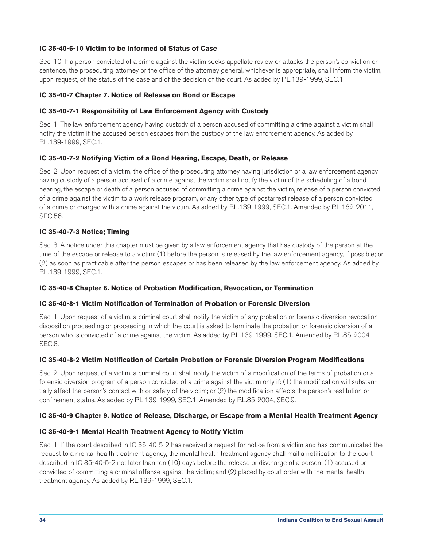# **IC 35-40-6-10 Victim to be Informed of Status of Case**

Sec. 10. If a person convicted of a crime against the victim seeks appellate review or attacks the person's conviction or sentence, the prosecuting attorney or the office of the attorney general, whichever is appropriate, shall inform the victim, upon request, of the status of the case and of the decision of the court. As added by P.L.139-1999, SEC.1.

# **IC 35-40-7 Chapter 7. Notice of Release on Bond or Escape**

# **IC 35-40-7-1 Responsibility of Law Enforcement Agency with Custody**

Sec. 1. The law enforcement agency having custody of a person accused of committing a crime against a victim shall notify the victim if the accused person escapes from the custody of the law enforcement agency. As added by P.L.139-1999, SEC.1.

# **IC 35-40-7-2 Notifying Victim of a Bond Hearing, Escape, Death, or Release**

Sec. 2. Upon request of a victim, the office of the prosecuting attorney having jurisdiction or a law enforcement agency having custody of a person accused of a crime against the victim shall notify the victim of the scheduling of a bond hearing, the escape or death of a person accused of committing a crime against the victim, release of a person convicted of a crime against the victim to a work release program, or any other type of postarrest release of a person convicted of a crime or charged with a crime against the victim. As added by P.L.139-1999, SEC.1. Amended by P.L.162-2011, SEC.56.

# **IC 35-40-7-3 Notice; Timing**

Sec. 3. A notice under this chapter must be given by a law enforcement agency that has custody of the person at the time of the escape or release to a victim: (1) before the person is released by the law enforcement agency, if possible; or (2) as soon as practicable after the person escapes or has been released by the law enforcement agency. As added by P.L.139-1999, SEC.1.

# **IC 35-40-8 Chapter 8. Notice of Probation Modification, Revocation, or Termination**

# **IC 35-40-8-1 Victim Notification of Termination of Probation or Forensic Diversion**

Sec. 1. Upon request of a victim, a criminal court shall notify the victim of any probation or forensic diversion revocation disposition proceeding or proceeding in which the court is asked to terminate the probation or forensic diversion of a person who is convicted of a crime against the victim. As added by P.L.139-1999, SEC.1. Amended by P.L.85-2004, SEC.8.

# **IC 35-40-8-2 Victim Notification of Certain Probation or Forensic Diversion Program Modifications**

Sec. 2. Upon request of a victim, a criminal court shall notify the victim of a modification of the terms of probation or a forensic diversion program of a person convicted of a crime against the victim only if: (1) the modification will substantially affect the person's contact with or safety of the victim; or (2) the modification affects the person's restitution or confinement status. As added by P.L.139-1999, SEC.1. Amended by P.L.85-2004, SEC.9.

# **IC 35-40-9 Chapter 9. Notice of Release, Discharge, or Escape from a Mental Health Treatment Agency**

# **IC 35-40-9-1 Mental Health Treatment Agency to Notify Victim**

Sec. 1. If the court described in IC 35-40-5-2 has received a request for notice from a victim and has communicated the request to a mental health treatment agency, the mental health treatment agency shall mail a notification to the court described in IC 35-40-5-2 not later than ten (10) days before the release or discharge of a person: (1) accused or convicted of committing a criminal offense against the victim; and (2) placed by court order with the mental health treatment agency. As added by P.L.139-1999, SEC.1.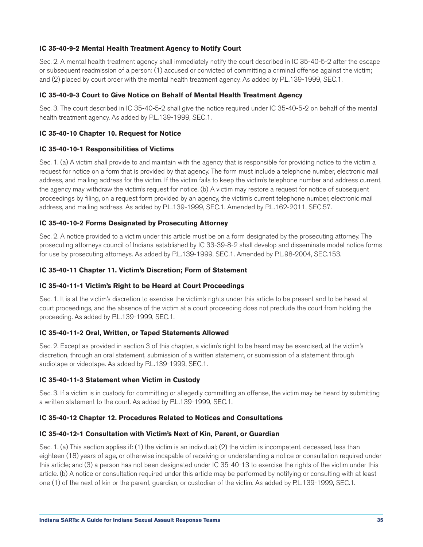#### **IC 35-40-9-2 Mental Health Treatment Agency to Notify Court**

Sec. 2. A mental health treatment agency shall immediately notify the court described in IC 35-40-5-2 after the escape or subsequent readmission of a person: (1) accused or convicted of committing a criminal offense against the victim; and (2) placed by court order with the mental health treatment agency. As added by P.L.139-1999, SEC.1.

#### **IC 35-40-9-3 Court to Give Notice on Behalf of Mental Health Treatment Agency**

Sec. 3. The court described in IC 35-40-5-2 shall give the notice required under IC 35-40-5-2 on behalf of the mental health treatment agency. As added by P.L.139-1999, SEC.1.

#### **IC 35-40-10 Chapter 10. Request for Notice**

#### **IC 35-40-10-1 Responsibilities of Victims**

Sec. 1. (a) A victim shall provide to and maintain with the agency that is responsible for providing notice to the victim a request for notice on a form that is provided by that agency. The form must include a telephone number, electronic mail address, and mailing address for the victim. If the victim fails to keep the victim's telephone number and address current, the agency may withdraw the victim's request for notice. (b) A victim may restore a request for notice of subsequent proceedings by filing, on a request form provided by an agency, the victim's current telephone number, electronic mail address, and mailing address. As added by P.L.139-1999, SEC.1. Amended by P.L.162-2011, SEC.57.

#### **IC 35-40-10-2 Forms Designated by Prosecuting Attorney**

Sec. 2. A notice provided to a victim under this article must be on a form designated by the prosecuting attorney. The prosecuting attorneys council of Indiana established by IC 33-39-8-2 shall develop and disseminate model notice forms for use by prosecuting attorneys. As added by P.L.139-1999, SEC.1. Amended by P.L.98-2004, SEC.153.

#### **IC 35-40-11 Chapter 11. Victim's Discretion; Form of Statement**

#### **IC 35-40-11-1 Victim's Right to be Heard at Court Proceedings**

Sec. 1. It is at the victim's discretion to exercise the victim's rights under this article to be present and to be heard at court proceedings, and the absence of the victim at a court proceeding does not preclude the court from holding the proceeding. As added by P.L.139-1999, SEC.1.

#### **IC 35-40-11-2 Oral, Written, or Taped Statements Allowed**

Sec. 2. Except as provided in section 3 of this chapter, a victim's right to be heard may be exercised, at the victim's discretion, through an oral statement, submission of a written statement, or submission of a statement through audiotape or videotape. As added by P.L.139-1999, SEC.1.

#### **IC 35-40-11-3 Statement when Victim in Custody**

Sec. 3. If a victim is in custody for committing or allegedly committing an offense, the victim may be heard by submitting a written statement to the court. As added by P.L.139-1999, SEC.1.

#### **IC 35-40-12 Chapter 12. Procedures Related to Notices and Consultations**

# **IC 35-40-12-1 Consultation with Victim's Next of Kin, Parent, or Guardian**

Sec. 1. (a) This section applies if: (1) the victim is an individual; (2) the victim is incompetent, deceased, less than eighteen (18) years of age, or otherwise incapable of receiving or understanding a notice or consultation required under this article; and (3) a person has not been designated under IC 35-40-13 to exercise the rights of the victim under this article. (b) A notice or consultation required under this article may be performed by notifying or consulting with at least one (1) of the next of kin or the parent, guardian, or custodian of the victim. As added by P.L.139-1999, SEC.1.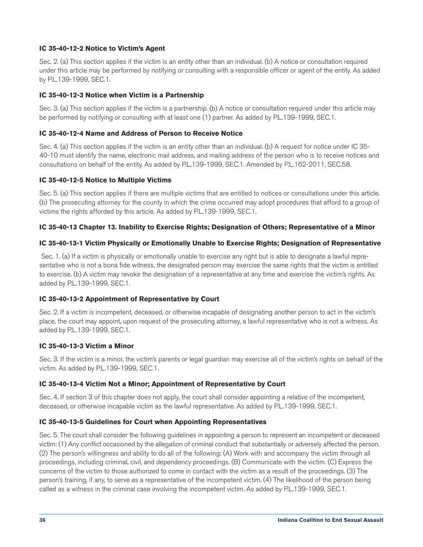# **IC 35-40-12-2 Notice to Victim's Agent**

Sec. 2. (a) This section applies if the victim is an entity other than an individual. (b) A notice or consultation required under this article may be performed by notifying or consulting with a responsible officer or agent of the entity. As added by P.L.139-1999, SEC.1.

#### **IC 35-40-12-3 Notice when Victim is a Partnership**

Sec. 3. (a) This section applies if the victim is a partnership. (b) A notice or consultation required under this article may be performed by notifying or consulting with at least one (1) partner. As added by P.L.139-1999, SEC.1.

#### **IC 35-40-12-4 Name and Address of Person to Receive Notice**

Sec. 4. (a) This section applies if the victim is an entity other than an individual. (b) A request for notice under IC 35- 40-10 must identify the name, electronic mail address, and mailing address of the person who is to receive notices and consultations on behalf of the entity. As added by P.L.139-1999, SEC.1. Amended by P.L.162-2011, SEC.58.

#### **IC 35-40-12-5 Notice to Multiple Victims**

Sec. 5. (a) This section applies if there are multiple victims that are entitled to notices or consultations under this article. (b) The prosecuting attorney for the county in which the crime occurred may adopt procedures that afford to a group of victims the rights afforded by this article. As added by P.L.139-1999, SEC.1.

#### **IC 35-40-13 Chapter 13. Inability to Exercise Rights; Designation of Others; Representative of a Minor**

#### **IC 35-40-13-1 Victim Physically or Emotionally Unable to Exercise Rights; Designation of Representative**

 Sec. 1. (a) If a victim is physically or emotionally unable to exercise any right but is able to designate a lawful representative who is not a bona fide witness, the designated person may exercise the same rights that the victim is entitled to exercise. (b) A victim may revoke the designation of a representative at any time and exercise the victim's rights. As added by P.L.139-1999, SEC.1.

#### **IC 35-40-13-2 Appointment of Representative by Court**

Sec. 2. If a victim is incompetent, deceased, or otherwise incapable of designating another person to act in the victim's place, the court may appoint, upon request of the prosecuting attorney, a lawful representative who is not a witness. As added by P.L.139-1999, SEC.1.

#### **IC 35-40-13-3 Victim a Minor**

Sec. 3. If the victim is a minor, the victim's parents or legal guardian may exercise all of the victim's rights on behalf of the victim. As added by P.L.139-1999, SEC.1.

#### **IC 35-40-13-4 Victim Not a Minor; Appointment of Representative by Court**

Sec. 4. If section 3 of this chapter does not apply, the court shall consider appointing a relative of the incompetent, deceased, or otherwise incapable victim as the lawful representative. As added by P.L.139-1999, SEC.1.

#### **IC 35-40-13-5 Guidelines for Court when Appointing Representatives**

Sec. 5. The court shall consider the following guidelines in appointing a person to represent an incompetent or deceased victim: (1) Any conflict occasioned by the allegation of criminal conduct that substantially or adversely affected the person. (2) The person's willingness and ability to do all of the following: (A) Work with and accompany the victim through all proceedings, including criminal, civil, and dependency proceedings. (B) Communicate with the victim. (C) Express the concerns of the victim to those authorized to come in contact with the victim as a result of the proceedings. (3) The person's training, if any, to serve as a representative of the incompetent victim. (4) The likelihood of the person being called as a witness in the criminal case involving the incompetent victim. As added by P.L.139-1999, SEC.1.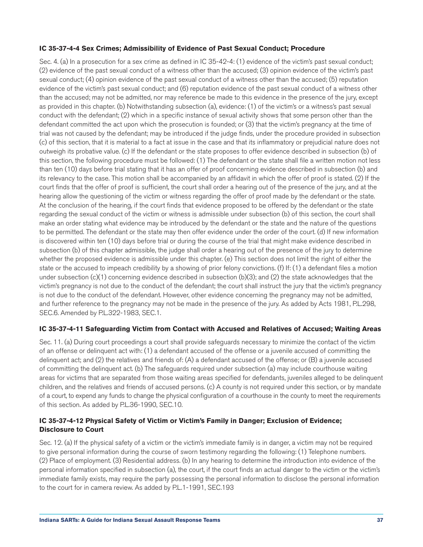#### **IC 35-37-4-4 Sex Crimes; Admissibility of Evidence of Past Sexual Conduct; Procedure**

Sec. 4. (a) In a prosecution for a sex crime as defined in IC 35-42-4: (1) evidence of the victim's past sexual conduct; (2) evidence of the past sexual conduct of a witness other than the accused; (3) opinion evidence of the victim's past sexual conduct; (4) opinion evidence of the past sexual conduct of a witness other than the accused; (5) reputation evidence of the victim's past sexual conduct; and (6) reputation evidence of the past sexual conduct of a witness other than the accused; may not be admitted, nor may reference be made to this evidence in the presence of the jury, except as provided in this chapter. (b) Notwithstanding subsection (a), evidence: (1) of the victim's or a witness's past sexual conduct with the defendant; (2) which in a specific instance of sexual activity shows that some person other than the defendant committed the act upon which the prosecution is founded; or (3) that the victim's pregnancy at the time of trial was not caused by the defendant; may be introduced if the judge finds, under the procedure provided in subsection (c) of this section, that it is material to a fact at issue in the case and that its inflammatory or prejudicial nature does not outweigh its probative value. (c) If the defendant or the state proposes to offer evidence described in subsection (b) of this section, the following procedure must be followed: (1) The defendant or the state shall file a written motion not less than ten (10) days before trial stating that it has an offer of proof concerning evidence described in subsection (b) and its relevancy to the case. This motion shall be accompanied by an affidavit in which the offer of proof is stated. (2) If the court finds that the offer of proof is sufficient, the court shall order a hearing out of the presence of the jury, and at the hearing allow the questioning of the victim or witness regarding the offer of proof made by the defendant or the state. At the conclusion of the hearing, if the court finds that evidence proposed to be offered by the defendant or the state regarding the sexual conduct of the victim or witness is admissible under subsection (b) of this section, the court shall make an order stating what evidence may be introduced by the defendant or the state and the nature of the questions to be permitted. The defendant or the state may then offer evidence under the order of the court. (d) If new information is discovered within ten (10) days before trial or during the course of the trial that might make evidence described in subsection (b) of this chapter admissible, the judge shall order a hearing out of the presence of the jury to determine whether the proposed evidence is admissible under this chapter. (e) This section does not limit the right of either the state or the accused to impeach credibility by a showing of prior felony convictions. (f) If: (1) a defendant files a motion under subsection (c)(1) concerning evidence described in subsection (b)(3); and (2) the state acknowledges that the victim's pregnancy is not due to the conduct of the defendant; the court shall instruct the jury that the victim's pregnancy is not due to the conduct of the defendant. However, other evidence concerning the pregnancy may not be admitted, and further reference to the pregnancy may not be made in the presence of the jury. As added by Acts 1981, P.L.298, SEC.6. Amended by P.L.322-1983, SEC.1.

# **IC 35-37-4-11 Safeguarding Victim from Contact with Accused and Relatives of Accused; Waiting Areas**

Sec. 11. (a) During court proceedings a court shall provide safeguards necessary to minimize the contact of the victim of an offense or delinquent act with: (1) a defendant accused of the offense or a juvenile accused of committing the delinquent act; and (2) the relatives and friends of: (A) a defendant accused of the offense; or (B) a juvenile accused of committing the delinquent act. (b) The safeguards required under subsection (a) may include courthouse waiting areas for victims that are separated from those waiting areas specified for defendants, juveniles alleged to be delinquent children, and the relatives and friends of accused persons. (c) A county is not required under this section, or by mandate of a court, to expend any funds to change the physical configuration of a courthouse in the county to meet the requirements of this section. As added by P.L.36-1990, SEC.10.

# **IC 35-37-4-12 Physical Safety of Victim or Victim's Family in Danger; Exclusion of Evidence; Disclosure to Court**

Sec. 12. (a) If the physical safety of a victim or the victim's immediate family is in danger, a victim may not be required to give personal information during the course of sworn testimony regarding the following: (1) Telephone numbers. (2) Place of employment. (3) Residential address. (b) In any hearing to determine the introduction into evidence of the personal information specified in subsection (a), the court, if the court finds an actual danger to the victim or the victim's immediate family exists, may require the party possessing the personal information to disclose the personal information to the court for in camera review. As added by P.L.1-1991, SEC.193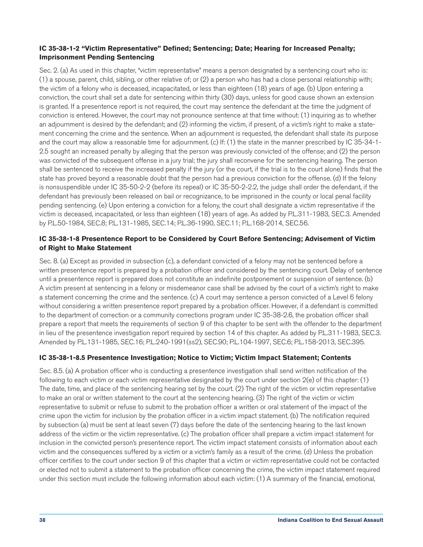# **IC 35-38-1-2 "Victim Representative" Defined; Sentencing; Date; Hearing for Increased Penalty; Imprisonment Pending Sentencing**

Sec. 2. (a) As used in this chapter, "victim representative" means a person designated by a sentencing court who is: (1) a spouse, parent, child, sibling, or other relative of; or (2) a person who has had a close personal relationship with; the victim of a felony who is deceased, incapacitated, or less than eighteen (18) years of age. (b) Upon entering a conviction, the court shall set a date for sentencing within thirty (30) days, unless for good cause shown an extension is granted. If a presentence report is not required, the court may sentence the defendant at the time the judgment of conviction is entered. However, the court may not pronounce sentence at that time without: (1) inquiring as to whether an adjournment is desired by the defendant; and (2) informing the victim, if present, of a victim's right to make a statement concerning the crime and the sentence. When an adjournment is requested, the defendant shall state its purpose and the court may allow a reasonable time for adjournment. (c) If: (1) the state in the manner prescribed by IC 35-34-1- 2.5 sought an increased penalty by alleging that the person was previously convicted of the offense; and (2) the person was convicted of the subsequent offense in a jury trial; the jury shall reconvene for the sentencing hearing. The person shall be sentenced to receive the increased penalty if the jury (or the court, if the trial is to the court alone) finds that the state has proved beyond a reasonable doubt that the person had a previous conviction for the offense. (d) If the felony is nonsuspendible under IC 35-50-2-2 (before its repeal) or IC 35-50-2-2.2, the judge shall order the defendant, if the defendant has previously been released on bail or recognizance, to be imprisoned in the county or local penal facility pending sentencing. (e) Upon entering a conviction for a felony, the court shall designate a victim representative if the victim is deceased, incapacitated, or less than eighteen (18) years of age. As added by P.L.311-1983, SEC.3. Amended by P.L.50-1984, SEC.8; P.L.131-1985, SEC.14; P.L.36-1990, SEC.11; P.L.168-2014, SEC.56.

# **IC 35-38-1-8 Presentence Report to be Considered by Court Before Sentencing; Advisement of Victim of Right to Make Statement**

Sec. 8. (a) Except as provided in subsection (c), a defendant convicted of a felony may not be sentenced before a written presentence report is prepared by a probation officer and considered by the sentencing court. Delay of sentence until a presentence report is prepared does not constitute an indefinite postponement or suspension of sentence. (b) A victim present at sentencing in a felony or misdemeanor case shall be advised by the court of a victim's right to make a statement concerning the crime and the sentence. (c) A court may sentence a person convicted of a Level 6 felony without considering a written presentence report prepared by a probation officer. However, if a defendant is committed to the department of correction or a community corrections program under IC 35-38-2.6, the probation officer shall prepare a report that meets the requirements of section 9 of this chapter to be sent with the offender to the department in lieu of the presentence investigation report required by section 14 of this chapter. As added by P.L.311-1983, SEC.3. Amended by P.L.131-1985, SEC.16; P.L.240-1991(ss2), SEC.90; P.L.104-1997, SEC.6; P.L.158-2013, SEC.395.

# **IC 35-38-1-8.5 Presentence Investigation; Notice to Victim; Victim Impact Statement; Contents**

Sec. 8.5. (a) A probation officer who is conducting a presentence investigation shall send written notification of the following to each victim or each victim representative designated by the court under section 2(e) of this chapter: (1) The date, time, and place of the sentencing hearing set by the court. (2) The right of the victim or victim representative to make an oral or written statement to the court at the sentencing hearing. (3) The right of the victim or victim representative to submit or refuse to submit to the probation officer a written or oral statement of the impact of the crime upon the victim for inclusion by the probation officer in a victim impact statement. (b) The notification required by subsection (a) must be sent at least seven (7) days before the date of the sentencing hearing to the last known address of the victim or the victim representative. (c) The probation officer shall prepare a victim impact statement for inclusion in the convicted person's presentence report. The victim impact statement consists of information about each victim and the consequences suffered by a victim or a victim's family as a result of the crime. (d) Unless the probation officer certifies to the court under section 9 of this chapter that a victim or victim representative could not be contacted or elected not to submit a statement to the probation officer concerning the crime, the victim impact statement required under this section must include the following information about each victim: (1) A summary of the financial, emotional,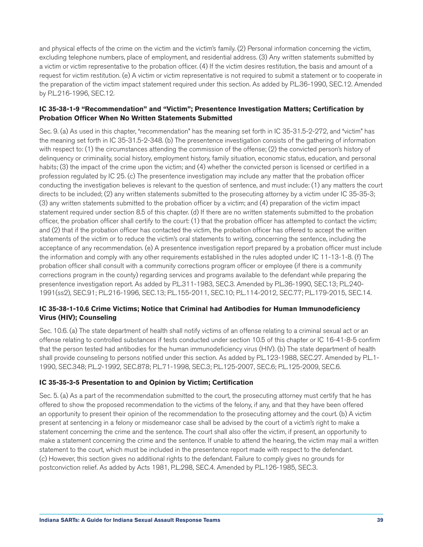and physical effects of the crime on the victim and the victim's family. (2) Personal information concerning the victim, excluding telephone numbers, place of employment, and residential address. (3) Any written statements submitted by a victim or victim representative to the probation officer. (4) If the victim desires restitution, the basis and amount of a request for victim restitution. (e) A victim or victim representative is not required to submit a statement or to cooperate in the preparation of the victim impact statement required under this section. As added by P.L.36-1990, SEC.12. Amended by P.L.216-1996, SEC.12.

# **IC 35-38-1-9 "Recommendation" and "Victim"; Presentence Investigation Matters; Certification by Probation Officer When No Written Statements Submitted**

Sec. 9. (a) As used in this chapter, "recommendation" has the meaning set forth in IC 35-31.5-2-272, and "victim" has the meaning set forth in IC 35-31.5-2-348. (b) The presentence investigation consists of the gathering of information with respect to: (1) the circumstances attending the commission of the offense; (2) the convicted person's history of delinquency or criminality, social history, employment history, family situation, economic status, education, and personal habits; (3) the impact of the crime upon the victim; and (4) whether the convicted person is licensed or certified in a profession regulated by IC 25. (c) The presentence investigation may include any matter that the probation officer conducting the investigation believes is relevant to the question of sentence, and must include: (1) any matters the court directs to be included; (2) any written statements submitted to the prosecuting attorney by a victim under IC 35-35-3; (3) any written statements submitted to the probation officer by a victim; and (4) preparation of the victim impact statement required under section 8.5 of this chapter. (d) If there are no written statements submitted to the probation officer, the probation officer shall certify to the court: (1) that the probation officer has attempted to contact the victim; and (2) that if the probation officer has contacted the victim, the probation officer has offered to accept the written statements of the victim or to reduce the victim's oral statements to writing, concerning the sentence, including the acceptance of any recommendation. (e) A presentence investigation report prepared by a probation officer must include the information and comply with any other requirements established in the rules adopted under IC 11-13-1-8. (f) The probation officer shall consult with a community corrections program officer or employee (if there is a community corrections program in the county) regarding services and programs available to the defendant while preparing the presentence investigation report. As added by P.L.311-1983, SEC.3. Amended by P.L.36-1990, SEC.13; P.L.240- 1991(ss2), SEC.91; P.L.216-1996, SEC.13; P.L.155-2011, SEC.10; P.L.114-2012, SEC.77; P.L.179-2015, SEC.14.

# **IC 35-38-1-10.6 Crime Victims; Notice that Criminal had Antibodies for Human Immunodeficiency Virus (HIV); Counseling**

Sec. 10.6. (a) The state department of health shall notify victims of an offense relating to a criminal sexual act or an offense relating to controlled substances if tests conducted under section 10.5 of this chapter or IC 16-41-8-5 confirm that the person tested had antibodies for the human immunodeficiency virus (HIV). (b) The state department of health shall provide counseling to persons notified under this section. As added by P.L.123-1988, SEC.27. Amended by P.L.1- 1990, SEC.348; P.L.2-1992, SEC.878; P.L.71-1998, SEC.3; P.L.125-2007, SEC.6; P.L.125-2009, SEC.6.

# **IC 35-35-3-5 Presentation to and Opinion by Victim; Certification**

Sec. 5. (a) As a part of the recommendation submitted to the court, the prosecuting attorney must certify that he has offered to show the proposed recommendation to the victims of the felony, if any, and that they have been offered an opportunity to present their opinion of the recommendation to the prosecuting attorney and the court. (b) A victim present at sentencing in a felony or misdemeanor case shall be advised by the court of a victim's right to make a statement concerning the crime and the sentence. The court shall also offer the victim, if present, an opportunity to make a statement concerning the crime and the sentence. If unable to attend the hearing, the victim may mail a written statement to the court, which must be included in the presentence report made with respect to the defendant. (c) However, this section gives no additional rights to the defendant. Failure to comply gives no grounds for postconviction relief. As added by Acts 1981, P.L.298, SEC.4. Amended by P.L.126-1985, SEC.3.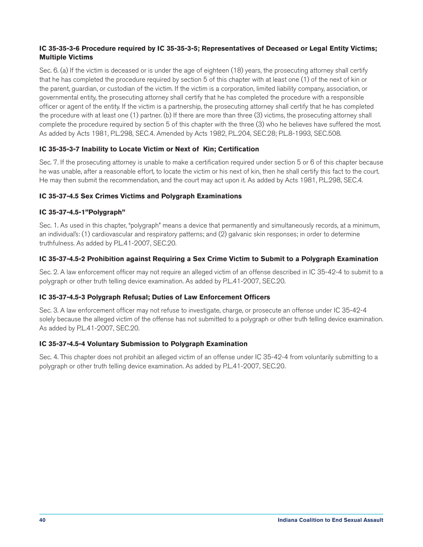# **IC 35-35-3-6 Procedure required by IC 35-35-3-5; Representatives of Deceased or Legal Entity Victims; Multiple Victims**

Sec. 6. (a) If the victim is deceased or is under the age of eighteen (18) years, the prosecuting attorney shall certify that he has completed the procedure required by section 5 of this chapter with at least one (1) of the next of kin or the parent, guardian, or custodian of the victim. If the victim is a corporation, limited liability company, association, or governmental entity, the prosecuting attorney shall certify that he has completed the procedure with a responsible officer or agent of the entity. If the victim is a partnership, the prosecuting attorney shall certify that he has completed the procedure with at least one (1) partner. (b) If there are more than three (3) victims, the prosecuting attorney shall complete the procedure required by section 5 of this chapter with the three (3) who he believes have suffered the most. As added by Acts 1981, P.L.298, SEC.4. Amended by Acts 1982, P.L.204, SEC.28; P.L.8-1993, SEC.508.

# **IC 35-35-3-7 Inability to Locate Victim or Next of Kin; Certification**

Sec. 7. If the prosecuting attorney is unable to make a certification required under section 5 or 6 of this chapter because he was unable, after a reasonable effort, to locate the victim or his next of kin, then he shall certify this fact to the court. He may then submit the recommendation, and the court may act upon it. As added by Acts 1981, P.L.298, SEC.4.

# **IC 35-37-4.5 Sex Crimes Victims and Polygraph Examinations**

# **IC 35-37-4.5-1"Polygraph"**

Sec. 1. As used in this chapter, "polygraph" means a device that permanently and simultaneously records, at a minimum, an individual's: (1) cardiovascular and respiratory patterns; and (2) galvanic skin responses; in order to determine truthfulness. As added by P.L.41-2007, SEC.20.

# **IC 35-37-4.5-2 Prohibition against Requiring a Sex Crime Victim to Submit to a Polygraph Examination**

Sec. 2. A law enforcement officer may not require an alleged victim of an offense described in IC 35-42-4 to submit to a polygraph or other truth telling device examination. As added by P.L.41-2007, SEC.20.

# **IC 35-37-4.5-3 Polygraph Refusal; Duties of Law Enforcement Officers**

Sec. 3. A law enforcement officer may not refuse to investigate, charge, or prosecute an offense under IC 35-42-4 solely because the alleged victim of the offense has not submitted to a polygraph or other truth telling device examination. As added by P.L.41-2007, SEC.20.

# **IC 35-37-4.5-4 Voluntary Submission to Polygraph Examination**

Sec. 4. This chapter does not prohibit an alleged victim of an offense under IC 35-42-4 from voluntarily submitting to a polygraph or other truth telling device examination. As added by P.L.41-2007, SEC.20.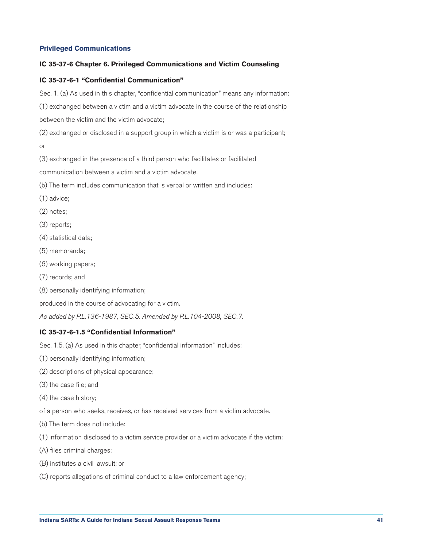#### <span id="page-41-0"></span>**Privileged Communications**

#### **IC 35-37-6 Chapter 6. Privileged Communications and Victim Counseling**

# **IC 35-37-6-1 "Confidential Communication"**

Sec. 1. (a) As used in this chapter, "confidential communication" means any information:

(1) exchanged between a victim and a victim advocate in the course of the relationship

between the victim and the victim advocate;

(2) exchanged or disclosed in a support group in which a victim is or was a participant; or

(3) exchanged in the presence of a third person who facilitates or facilitated

communication between a victim and a victim advocate.

(b) The term includes communication that is verbal or written and includes:

- (1) advice;
- (2) notes;
- (3) reports;
- (4) statistical data;
- (5) memoranda;
- (6) working papers;
- (7) records; and
- (8) personally identifying information;

produced in the course of advocating for a victim.

*As added by P.L.136-1987, SEC.5. Amended by P.L.104-2008, SEC.7.*

#### **IC 35-37-6-1.5 "Confidential Information"**

Sec. 1.5. (a) As used in this chapter, "confidential information" includes:

- (1) personally identifying information;
- (2) descriptions of physical appearance;
- (3) the case file; and
- (4) the case history;

of a person who seeks, receives, or has received services from a victim advocate.

- (b) The term does not include:
- (1) information disclosed to a victim service provider or a victim advocate if the victim:
- (A) files criminal charges;
- (B) institutes a civil lawsuit; or
- (C) reports allegations of criminal conduct to a law enforcement agency;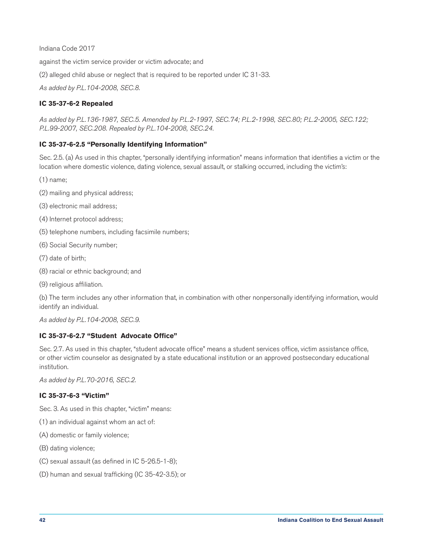Indiana Code 2017

against the victim service provider or victim advocate; and

(2) alleged child abuse or neglect that is required to be reported under IC 31-33.

*As added by P.L.104-2008, SEC.8.*

# **IC 35-37-6-2 Repealed**

*As added by P.L.136-1987, SEC.5. Amended by P.L.2-1997, SEC.74; P.L.2-1998, SEC.80; P.L.2-2005, SEC.122; P.L.99-2007, SEC.208. Repealed by P.L.104-2008, SEC.24.*

# **IC 35-37-6-2.5 "Personally Identifying Information"**

Sec. 2.5. (a) As used in this chapter, "personally identifying information" means information that identifies a victim or the location where domestic violence, dating violence, sexual assault, or stalking occurred, including the victim's:

- (1) name;
- (2) mailing and physical address;
- (3) electronic mail address;
- (4) Internet protocol address;
- (5) telephone numbers, including facsimile numbers;
- (6) Social Security number;
- (7) date of birth;
- (8) racial or ethnic background; and
- (9) religious affiliation.

(b) The term includes any other information that, in combination with other nonpersonally identifying information, would identify an individual.

*As added by P.L.104-2008, SEC.9.*

# **IC 35-37-6-2.7 "Student Advocate Office"**

Sec. 2.7. As used in this chapter, "student advocate office" means a student services office, victim assistance office, or other victim counselor as designated by a state educational institution or an approved postsecondary educational institution.

*As added by P.L.70-2016, SEC.2.*

#### **IC 35-37-6-3 "Victim"**

Sec. 3. As used in this chapter, "victim" means:

- (1) an individual against whom an act of:
- (A) domestic or family violence;
- (B) dating violence;
- (C) sexual assault (as defined in IC 5-26.5-1-8);
- (D) human and sexual trafficking (IC 35-42-3.5); or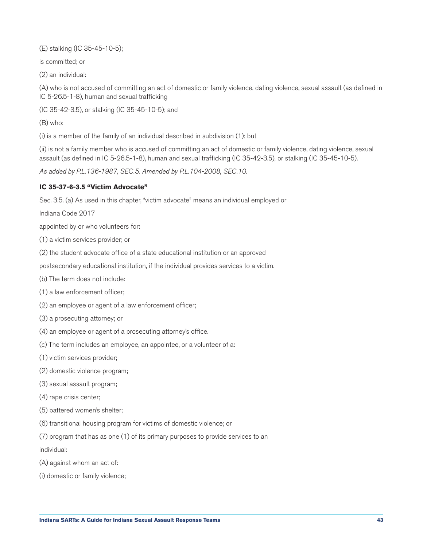(E) stalking (IC 35-45-10-5);

is committed; or

(2) an individual:

(A) who is not accused of committing an act of domestic or family violence, dating violence, sexual assault (as defined in IC 5-26.5-1-8), human and sexual trafficking

(IC 35-42-3.5), or stalking (IC 35-45-10-5); and

(B) who:

(i) is a member of the family of an individual described in subdivision (1); but

(ii) is not a family member who is accused of committing an act of domestic or family violence, dating violence, sexual assault (as defined in IC 5-26.5-1-8), human and sexual trafficking (IC 35-42-3.5), or stalking (IC 35-45-10-5).

*As added by P.L.136-1987, SEC.5. Amended by P.L.104-2008, SEC.10.*

# **IC 35-37-6-3.5 "Victim Advocate"**

Sec. 3.5. (a) As used in this chapter, "victim advocate" means an individual employed or

Indiana Code 2017

appointed by or who volunteers for:

(1) a victim services provider; or

(2) the student advocate office of a state educational institution or an approved

postsecondary educational institution, if the individual provides services to a victim.

(b) The term does not include:

(1) a law enforcement officer;

- (2) an employee or agent of a law enforcement officer;
- (3) a prosecuting attorney; or
- (4) an employee or agent of a prosecuting attorney's office.
- (c) The term includes an employee, an appointee, or a volunteer of a:
- (1) victim services provider;
- (2) domestic violence program;
- (3) sexual assault program;

(4) rape crisis center;

- (5) battered women's shelter;
- (6) transitional housing program for victims of domestic violence; or

(7) program that has as one (1) of its primary purposes to provide services to an individual:

- (A) against whom an act of:
- (i) domestic or family violence;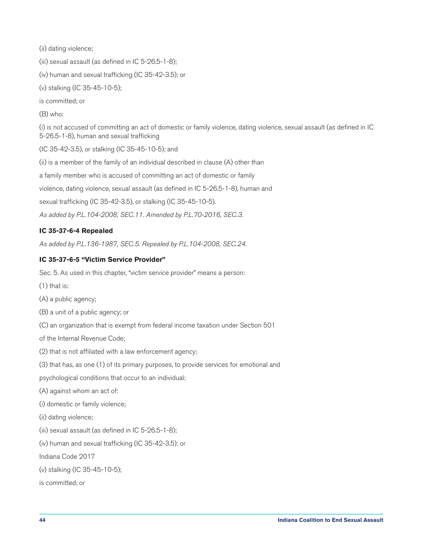(ii) dating violence;

(iii) sexual assault (as defined in IC 5-26.5-1-8);

(iv) human and sexual trafficking (IC 35-42-3.5); or

(v) stalking (IC 35-45-10-5);

is committed; or

(B) who:

(i) is not accused of committing an act of domestic or family violence, dating violence, sexual assault (as defined in IC 5-26.5-1-8), human and sexual trafficking

(IC 35-42-3.5), or stalking (IC 35-45-10-5); and

(ii) is a member of the family of an individual described in clause (A) other than

a family member who is accused of committing an act of domestic or family

violence, dating violence, sexual assault (as defined in IC 5-26.5-1-8), human and

sexual trafficking (IC 35-42-3.5), or stalking (IC 35-45-10-5).

*As added by P.L.104-2008, SEC.11. Amended by P.L.70-2016, SEC.3.*

# **IC 35-37-6-4 Repealed**

*As added by P.L.136-1987, SEC.5. Repealed by P.L.104-2008, SEC.24.*

#### **IC 35-37-6-5 "Victim Service Provider"**

Sec. 5. As used in this chapter, "victim service provider" means a person:

- $(1)$  that is:
- (A) a public agency;
- (B) a unit of a public agency; or
- (C) an organization that is exempt from federal income taxation under Section 501

of the Internal Revenue Code;

- (2) that is not affiliated with a law enforcement agency;
- (3) that has, as one (1) of its primary purposes, to provide services for emotional and
- psychological conditions that occur to an individual:
- (A) against whom an act of:
- (i) domestic or family violence;
- (ii) dating violence;
- (iii) sexual assault (as defined in IC 5-26.5-1-8);
- (iv) human and sexual trafficking (IC 35-42-3.5); or

Indiana Code 2017

- (v) stalking (IC 35-45-10-5);
- is committed; or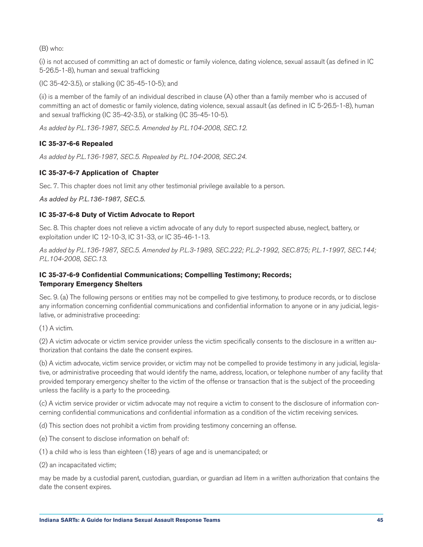(B) who:

(i) is not accused of committing an act of domestic or family violence, dating violence, sexual assault (as defined in IC 5-26.5-1-8), human and sexual trafficking

(IC 35-42-3.5), or stalking (IC 35-45-10-5); and

(ii) is a member of the family of an individual described in clause (A) other than a family member who is accused of committing an act of domestic or family violence, dating violence, sexual assault (as defined in IC 5-26.5-1-8), human and sexual trafficking (IC 35-42-3.5), or stalking (IC 35-45-10-5).

*As added by P.L.136-1987, SEC.5. Amended by P.L.104-2008, SEC.12.*

# **IC 35-37-6-6 Repealed**

*As added by P.L.136-1987, SEC.5. Repealed by P.L.104-2008, SEC.24.*

# **IC 35-37-6-7 Application of Chapter**

Sec. 7. This chapter does not limit any other testimonial privilege available to a person.

*As added by P.L.136-1987, SEC.5.*

# **IC 35-37-6-8 Duty of Victim Advocate to Report**

Sec. 8. This chapter does not relieve a victim advocate of any duty to report suspected abuse, neglect, battery, or exploitation under IC 12-10-3, IC 31-33, or IC 35-46-1-13.

*As added by P.L.136-1987, SEC.5. Amended by P.L.3-1989, SEC.222; P.L.2-1992, SEC.875; P.L.1-1997, SEC.144; P.L.104-2008, SEC.13.*

# **IC 35-37-6-9 Confidential Communications; Compelling Testimony; Records; Temporary Emergency Shelters**

Sec. 9. (a) The following persons or entities may not be compelled to give testimony, to produce records, or to disclose any information concerning confidential communications and confidential information to anyone or in any judicial, legislative, or administrative proceeding:

(1) A victim.

(2) A victim advocate or victim service provider unless the victim specifically consents to the disclosure in a written authorization that contains the date the consent expires.

(b) A victim advocate, victim service provider, or victim may not be compelled to provide testimony in any judicial, legislative, or administrative proceeding that would identify the name, address, location, or telephone number of any facility that provided temporary emergency shelter to the victim of the offense or transaction that is the subject of the proceeding unless the facility is a party to the proceeding.

(c) A victim service provider or victim advocate may not require a victim to consent to the disclosure of information concerning confidential communications and confidential information as a condition of the victim receiving services.

(d) This section does not prohibit a victim from providing testimony concerning an offense.

(e) The consent to disclose information on behalf of:

(1) a child who is less than eighteen (18) years of age and is unemancipated; or

(2) an incapacitated victim;

may be made by a custodial parent, custodian, guardian, or guardian ad litem in a written authorization that contains the date the consent expires.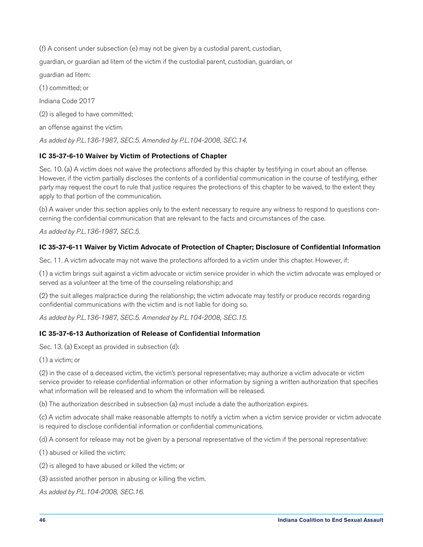(f) A consent under subsection (e) may not be given by a custodial parent, custodian, guardian, or guardian ad litem of the victim if the custodial parent, custodian, guardian, or guardian ad litem: (1) committed; or Indiana Code 2017 (2) is alleged to have committed; an offense against the victim. *As added by P.L.136-1987, SEC.5. Amended by P.L.104-2008, SEC.14.*

# **IC 35-37-6-10 Waiver by Victim of Protections of Chapter**

Sec. 10. (a) A victim does not waive the protections afforded by this chapter by testifying in court about an offense. However, if the victim partially discloses the contents of a confidential communication in the course of testifying, either party may request the court to rule that justice requires the protections of this chapter to be waived, to the extent they apply to that portion of the communication.

(b) A waiver under this section applies only to the extent necessary to require any witness to respond to questions concerning the confidential communication that are relevant to the facts and circumstances of the case.

*As added by P.L.136-1987, SEC.5.*

# **IC 35-37-6-11 Waiver by Victim Advocate of Protection of Chapter; Disclosure of Confidential Information**

Sec. 11. A victim advocate may not waive the protections afforded to a victim under this chapter. However, if:

(1) a victim brings suit against a victim advocate or victim service provider in which the victim advocate was employed or served as a volunteer at the time of the counseling relationship; and

(2) the suit alleges malpractice during the relationship; the victim advocate may testify or produce records regarding confidential communications with the victim and is not liable for doing so.

*As added by P.L.136-1987, SEC.5. Amended by P.L.104-2008, SEC.15.*

# **IC 35-37-6-13 Authorization of Release of Confidential Information**

Sec. 13. (a) Except as provided in subsection (d):

(1) a victim; or

(2) in the case of a deceased victim, the victim's personal representative; may authorize a victim advocate or victim service provider to release confidential information or other information by signing a written authorization that specifies what information will be released and to whom the information will be released.

(b) The authorization described in subsection (a) must include a date the authorization expires.

(c) A victim advocate shall make reasonable attempts to notify a victim when a victim service provider or victim advocate is required to disclose confidential information or confidential communications.

(d) A consent for release may not be given by a personal representative of the victim if the personal representative:

(1) abused or killed the victim;

(2) is alleged to have abused or killed the victim; or

(3) assisted another person in abusing or killing the victim.

*As added by P.L.104-2008, SEC.16.*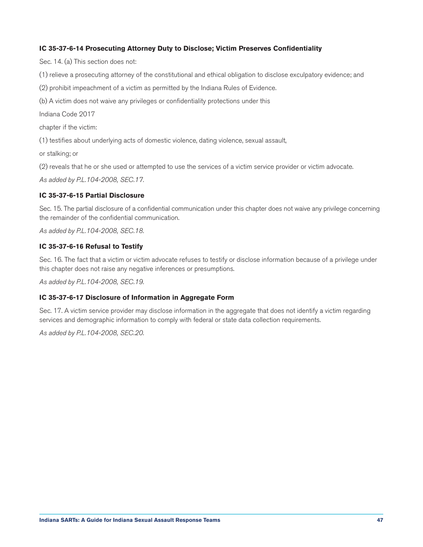#### **IC 35-37-6-14 Prosecuting Attorney Duty to Disclose; Victim Preserves Confidentiality**

Sec. 14. (a) This section does not:

(1) relieve a prosecuting attorney of the constitutional and ethical obligation to disclose exculpatory evidence; and

(2) prohibit impeachment of a victim as permitted by the Indiana Rules of Evidence.

(b) A victim does not waive any privileges or confidentiality protections under this

Indiana Code 2017

chapter if the victim:

(1) testifies about underlying acts of domestic violence, dating violence, sexual assault,

or stalking; or

(2) reveals that he or she used or attempted to use the services of a victim service provider or victim advocate.

*As added by P.L.104-2008, SEC.17.*

#### **IC 35-37-6-15 Partial Disclosure**

Sec. 15. The partial disclosure of a confidential communication under this chapter does not waive any privilege concerning the remainder of the confidential communication.

*As added by P.L.104-2008, SEC.18.*

#### **IC 35-37-6-16 Refusal to Testify**

Sec. 16. The fact that a victim or victim advocate refuses to testify or disclose information because of a privilege under this chapter does not raise any negative inferences or presumptions.

*As added by P.L.104-2008, SEC.19.*

#### **IC 35-37-6-17 Disclosure of Information in Aggregate Form**

Sec. 17. A victim service provider may disclose information in the aggregate that does not identify a victim regarding services and demographic information to comply with federal or state data collection requirements.

*As added by P.L.104-2008, SEC.20.*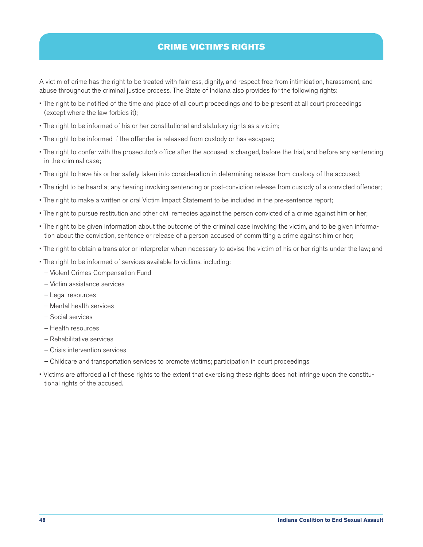# CRIME VICTIM'S RIGHTS

<span id="page-48-0"></span>A victim of crime has the right to be treated with fairness, dignity, and respect free from intimidation, harassment, and abuse throughout the criminal justice process. The State of Indiana also provides for the following rights:

- The right to be notified of the time and place of all court proceedings and to be present at all court proceedings (except where the law forbids it);
- The right to be informed of his or her constitutional and statutory rights as a victim;
- The right to be informed if the offender is released from custody or has escaped;
- The right to confer with the prosecutor's office after the accused is charged, before the trial, and before any sentencing in the criminal case;
- The right to have his or her safety taken into consideration in determining release from custody of the accused;
- The right to be heard at any hearing involving sentencing or post-conviction release from custody of a convicted offender;
- The right to make a written or oral Victim Impact Statement to be included in the pre-sentence report;
- The right to pursue restitution and other civil remedies against the person convicted of a crime against him or her;
- The right to be given information about the outcome of the criminal case involving the victim, and to be given information about the conviction, sentence or release of a person accused of committing a crime against him or her;
- The right to obtain a translator or interpreter when necessary to advise the victim of his or her rights under the law; and
- The right to be informed of services available to victims, including:
	- Violent Crimes Compensation Fund
- Victim assistance services
- Legal resources
- Mental health services
- Social services
- Health resources
- Rehabilitative services
- Crisis intervention services
- Childcare and transportation services to promote victims; participation in court proceedings
- Victims are afforded all of these rights to the extent that exercising these rights does not infringe upon the constitutional rights of the accused.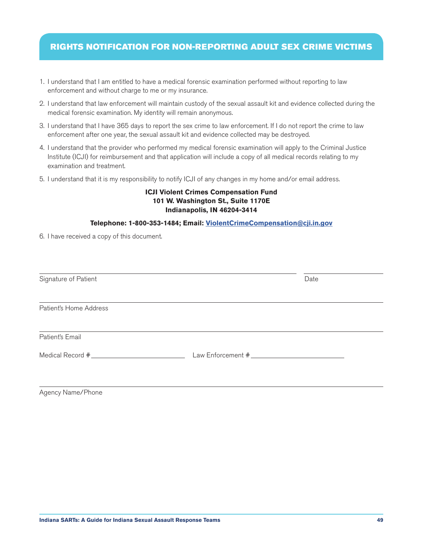# <span id="page-49-0"></span>RIGHTS NOTIFICATION FOR NON-REPORTING ADULT SEX CRIME VICTIMS

- 1. I understand that I am entitled to have a medical forensic examination performed without reporting to law enforcement and without charge to me or my insurance.
- 2. I understand that law enforcement will maintain custody of the sexual assault kit and evidence collected during the medical forensic examination. My identity will remain anonymous.
- 3. I understand that I have 365 days to report the sex crime to law enforcement. If I do not report the crime to law enforcement after one year, the sexual assault kit and evidence collected may be destroyed.
- 4. I understand that the provider who performed my medical forensic examination will apply to the Criminal Justice Institute (ICJI) for reimbursement and that application will include a copy of all medical records relating to my examination and treatment.
- 5. I understand that it is my responsibility to notify ICJI of any changes in my home and/or email address.

# **ICJI Violent Crimes Compensation Fund 101 W. Washington St., Suite 1170E Indianapolis, IN 46204-3414**

#### **Telephone: 1-800-353-1484; Email: [ViolentCrimeCompensation@cji.in.gov](mailto:ViolentCrimeCompensation%40cji.in.gov?subject=)**

6. I have received a copy of this document.

| Signature of Patient   | Date |  |
|------------------------|------|--|
| Patient's Home Address |      |  |
| Patient's Email        |      |  |
|                        |      |  |

Agency Name/Phone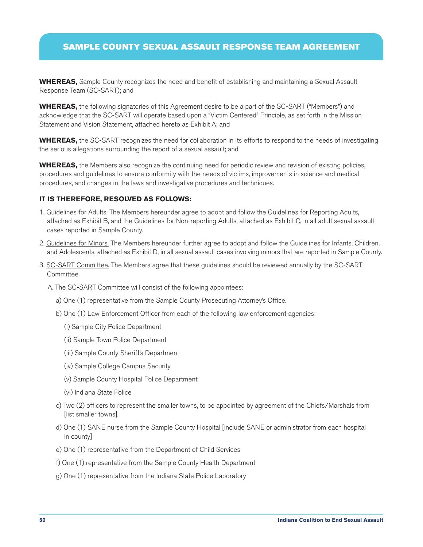# <span id="page-50-0"></span>SAMPLE COUNTY SEXUAL ASSAULT RESPONSE TEAM AGREEMENT

**WHEREAS,** Sample County recognizes the need and benefit of establishing and maintaining a Sexual Assault Response Team (SC-SART); and

**WHEREAS,** the following signatories of this Agreement desire to be a part of the SC-SART ("Members") and acknowledge that the SC-SART will operate based upon a "Victim Centered" Principle, as set forth in the Mission Statement and Vision Statement, attached hereto as Exhibit A; and

**WHEREAS,** the SC-SART recognizes the need for collaboration in its efforts to respond to the needs of investigating the serious allegations surrounding the report of a sexual assault; and

**WHEREAS,** the Members also recognize the continuing need for periodic review and revision of existing policies, procedures and guidelines to ensure conformity with the needs of victims, improvements in science and medical procedures, and changes in the laws and investigative procedures and techniques.

#### **IT IS THEREFORE, RESOLVED AS FOLLOWS:**

- 1. Guidelines for Adults. The Members hereunder agree to adopt and follow the Guidelines for Reporting Adults, attached as Exhibit B, and the Guidelines for Non-reporting Adults, attached as Exhibit C, in all adult sexual assault cases reported in Sample County.
- 2. Guidelines for Minors. The Members hereunder further agree to adopt and follow the Guidelines for Infants, Children, and Adolescents, attached as Exhibit D, in all sexual assault cases involving minors that are reported in Sample County.
- 3. SC-SART Committee. The Members agree that these guidelines should be reviewed annually by the SC-SART Committee.
	- A. The SC-SART Committee will consist of the following appointees:
		- a) One (1) representative from the Sample County Prosecuting Attorney's Office.
		- b) One (1) Law Enforcement Officer from each of the following law enforcement agencies:
			- (i) Sample City Police Department
			- (ii) Sample Town Police Department
			- (iii) Sample County Sheriff's Department
			- (iv) Sample College Campus Security
			- (v) Sample County Hospital Police Department
			- (vi) Indiana State Police
		- c) Two (2) officers to represent the smaller towns, to be appointed by agreement of the Chiefs/Marshals from [list smaller towns].
		- d) One (1) SANE nurse from the Sample County Hospital [include SANE or administrator from each hospital in county]
		- e) One (1) representative from the Department of Child Services
		- f) One (1) representative from the Sample County Health Department
		- g) One (1) representative from the Indiana State Police Laboratory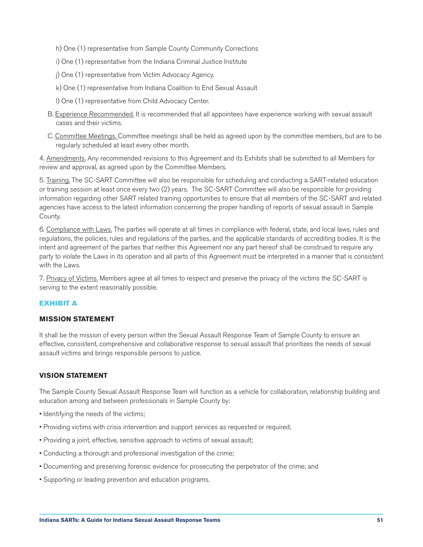- h) One (1) representative from Sample County Community Corrections
- i) One (1) representative from the Indiana Criminal Justice Institute
- j) One (1) representative from Victim Advocacy Agency.
- k) One (1) representative from Indiana Coalition to End Sexual Assault
- l) One (1) representative from Child Advocacy Center.
- B. Experience Recommended. It is recommended that all appointees have experience working with sexual assault cases and their victims.
- C. Committee Meetings. Committee meetings shall be held as agreed upon by the committee members, but are to be regularly scheduled at least every other month.

4. Amendments. Any recommended revisions to this Agreement and its Exhibits shall be submitted to all Members for review and approval, as agreed upon by the Committee Members.

5. Training. The SC-SART Committee will also be responsible for scheduling and conducting a SART-related education or training session at least once every two (2) years. The SC-SART Committee will also be responsible for providing information regarding other SART related training opportunities to ensure that all members of the SC-SART and related agencies have access to the latest information concerning the proper handling of reports of sexual assault in Sample County.

6. Compliance with Laws. The parties will operate at all times in compliance with federal, state, and local laws, rules and regulations, the policies, rules and regulations of the parties, and the applicable standards of accrediting bodies. It is the intent and agreement of the parties that neither this Agreement nor any part hereof shall be construed to require any party to violate the Laws in its operation and all parts of this Agreement must be interpreted in a manner that is consistent with the Laws.

7. Privacy of Victims. Members agree at all times to respect and preserve the privacy of the victims the SC-SART is serving to the extent reasonably possible.

# EXHIBIT A

#### **MISSION STATEMENT**

It shall be the mission of every person within the Sexual Assault Response Team of Sample County to ensure an effective, consistent, comprehensive and collaborative response to sexual assault that prioritizes the needs of sexual assault victims and brings responsible persons to justice.

# **VISION STATEMENT**

The Sample County Sexual Assault Response Team will function as a vehicle for collaboration, relationship building and education among and between professionals in Sample County by:

- Identifying the needs of the victims;
- Providing victims with crisis intervention and support services as requested or required;
- Providing a joint, effective, sensitive approach to victims of sexual assault;
- Conducting a thorough and professional investigation of the crime;
- Documenting and preserving forensic evidence for prosecuting the perpetrator of the crime; and
- Supporting or leading prevention and education programs.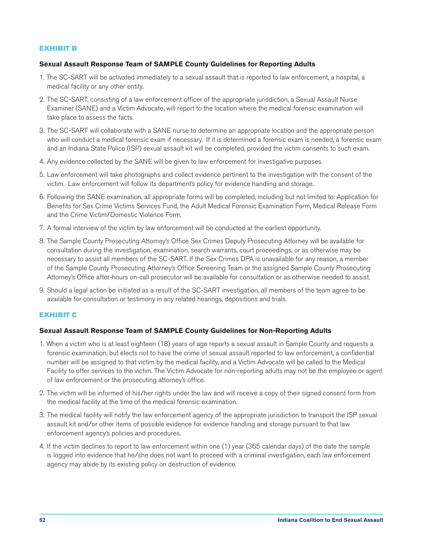# EXHIBIT B

# **Sexual Assault Response Team of SAMPLE County Guidelines for Reporting Adults**

- 1. The SC-SART will be activated immediately to a sexual assault that is reported to law enforcement, a hospital, a medical facility or any other entity.
- 2. The SC-SART, consisting of a law enforcement officer of the appropriate jurisdiction, a Sexual Assault Nurse Examiner (SANE) and a Victim Advocate, will report to the location where the medical forensic examination will take place to assess the facts.
- 3. The SC-SART will collaborate with a SANE nurse to determine an appropriate location and the appropriate person who will conduct a medical forensic exam if necessary. If it is determined a forensic exam is needed, a forensic exam and an Indiana State Police (ISP) sexual assault kit will be completed, provided the victim consents to such exam.
- 4. Any evidence collected by the SANE will be given to law enforcement for investigative purposes.
- 5. Law enforcement will take photographs and collect evidence pertinent to the investigation with the consent of the victim. Law enforcement will follow its department's policy for evidence handling and storage.
- 6. Following the SANE examination, all appropriate forms will be completed, including but not limited to: Application for Benefits for Sex Crime Victims Services Fund, the Adult Medical Forensic Examination Form, Medical Release Form and the Crime Victim/Domestic Violence Form.
- 7. A formal interview of the victim by law enforcement will be conducted at the earliest opportunity.
- 8. The Sample County Prosecuting Attorney's Office Sex Crimes Deputy Prosecuting Attorney will be available for consultation during the investigation, examination, search warrants, court proceedings, or as otherwise may be necessary to assist all members of the SC-SART. If the Sex Crimes DPA is unavailable for any reason, a member of the Sample County Prosecuting Attorney's Office Screening Team or the assigned Sample County Prosecuting Attorney's Office after-hours on-call prosecutor will be available for consultation or as otherwise needed to assist.
- 9. Should a legal action be initiated as a result of the SC-SART investigation, all members of the team agree to be available for consultation or testimony in any related hearings, depositions and trials.

# EXHIBIT C

# **Sexual Assault Response Team of SAMPLE County Guidelines for Non-Reporting Adults**

- 1. When a victim who is at least eighteen (18) years of age reports a sexual assault in Sample County and requests a forensic examination, but elects not to have the crime of sexual assault reported to law enforcement, a confidential number will be assigned to that victim by the medical facility, and a Victim Advocate will be called to the Medical Facility to offer services to the victim. The Victim Advocate for non-reporting adults may not be the employee or agent of law enforcement or the prosecuting attorney's office.
- 2. The victim will be informed of his/her rights under the law and will receive a copy of their signed consent form from the medical facility at the time of the medical forensic examination.
- 3. The medical facility will notify the law enforcement agency of the appropriate jurisdiction to transport the ISP sexual assault kit and/or other items of possible evidence for evidence handling and storage pursuant to that law enforcement agency's policies and procedures.
- 4. If the victim declines to report to law enforcement within one (1) year (365 calendar days) of the date the sample is logged into evidence that he/she does not want to proceed with a criminal investigation, each law enforcement agency may abide by its existing policy on destruction of evidence.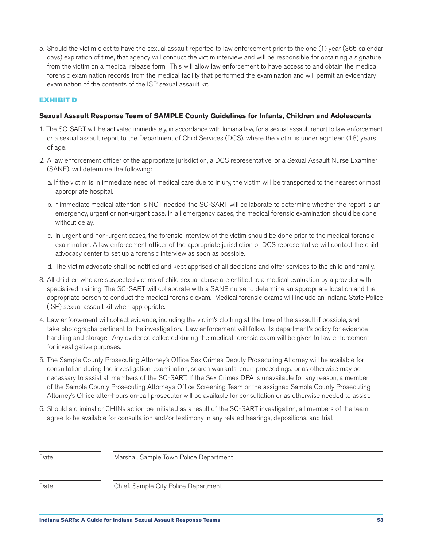5. Should the victim elect to have the sexual assault reported to law enforcement prior to the one (1) year (365 calendar days) expiration of time, that agency will conduct the victim interview and will be responsible for obtaining a signature from the victim on a medical release form. This will allow law enforcement to have access to and obtain the medical forensic examination records from the medical facility that performed the examination and will permit an evidentiary examination of the contents of the ISP sexual assault kit.

#### EXHIBIT D

#### **Sexual Assault Response Team of SAMPLE County Guidelines for Infants, Children and Adolescents**

- 1. The SC-SART will be activated immediately, in accordance with Indiana law, for a sexual assault report to law enforcement or a sexual assault report to the Department of Child Services (DCS), where the victim is under eighteen (18) years of age.
- 2. A law enforcement officer of the appropriate jurisdiction, a DCS representative, or a Sexual Assault Nurse Examiner (SANE), will determine the following:
	- a. If the victim is in immediate need of medical care due to injury, the victim will be transported to the nearest or most appropriate hospital.
	- b. If immediate medical attention is NOT needed, the SC-SART will collaborate to determine whether the report is an emergency, urgent or non-urgent case. In all emergency cases, the medical forensic examination should be done without delay.
	- c. In urgent and non-urgent cases, the forensic interview of the victim should be done prior to the medical forensic examination. A law enforcement officer of the appropriate jurisdiction or DCS representative will contact the child advocacy center to set up a forensic interview as soon as possible.
	- d. The victim advocate shall be notified and kept apprised of all decisions and offer services to the child and family.
- 3. All children who are suspected victims of child sexual abuse are entitled to a medical evaluation by a provider with specialized training. The SC-SART will collaborate with a SANE nurse to determine an appropriate location and the appropriate person to conduct the medical forensic exam. Medical forensic exams will include an Indiana State Police (ISP) sexual assault kit when appropriate.
- 4. Law enforcement will collect evidence, including the victim's clothing at the time of the assault if possible, and take photographs pertinent to the investigation. Law enforcement will follow its department's policy for evidence handling and storage. Any evidence collected during the medical forensic exam will be given to law enforcement for investigative purposes.
- 5. The Sample County Prosecuting Attorney's Office Sex Crimes Deputy Prosecuting Attorney will be available for consultation during the investigation, examination, search warrants, court proceedings, or as otherwise may be necessary to assist all members of the SC-SART. If the Sex Crimes DPA is unavailable for any reason, a member of the Sample County Prosecuting Attorney's Office Screening Team or the assigned Sample County Prosecuting Attorney's Office after-hours on-call prosecutor will be available for consultation or as otherwise needed to assist.
- 6. Should a criminal or CHINs action be initiated as a result of the SC-SART investigation, all members of the team agree to be available for consultation and/or testimony in any related hearings, depositions, and trial.

Date Marshal, Sample Town Police Department

Date Chief, Sample City Police Department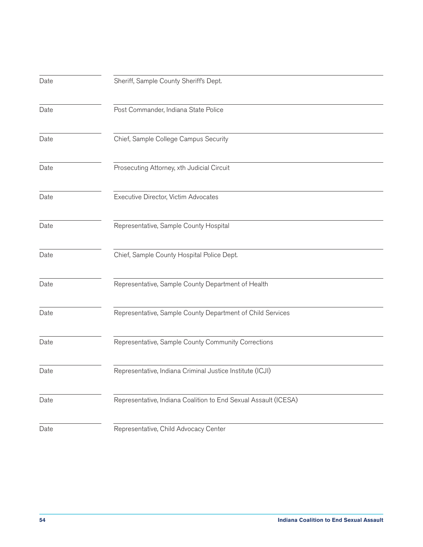| Date | Sheriff, Sample County Sheriff's Dept.                          |
|------|-----------------------------------------------------------------|
| Date | Post Commander, Indiana State Police                            |
| Date | Chief, Sample College Campus Security                           |
| Date | Prosecuting Attorney, xth Judicial Circuit                      |
| Date | Executive Director, Victim Advocates                            |
| Date | Representative, Sample County Hospital                          |
| Date | Chief, Sample County Hospital Police Dept.                      |
| Date | Representative, Sample County Department of Health              |
| Date | Representative, Sample County Department of Child Services      |
| Date | Representative, Sample County Community Corrections             |
| Date | Representative, Indiana Criminal Justice Institute (ICJI)       |
| Date | Representative, Indiana Coalition to End Sexual Assault (ICESA) |
| Date | Representative, Child Advocacy Center                           |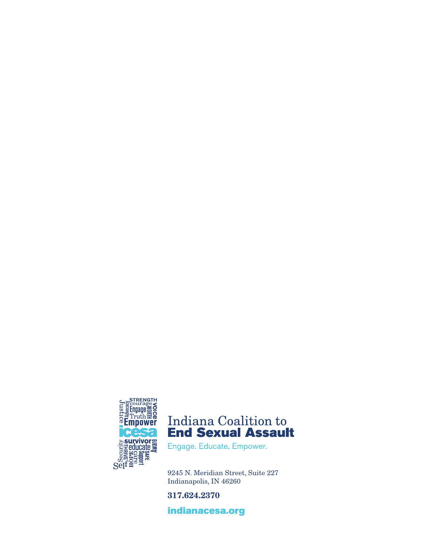



Engage. Educate. Empower.

9245 N. Meridian Street, Suite 227 Indianapolis, IN 46260

317.624.2370

[indianacesa.org](http://indianacesa.org )